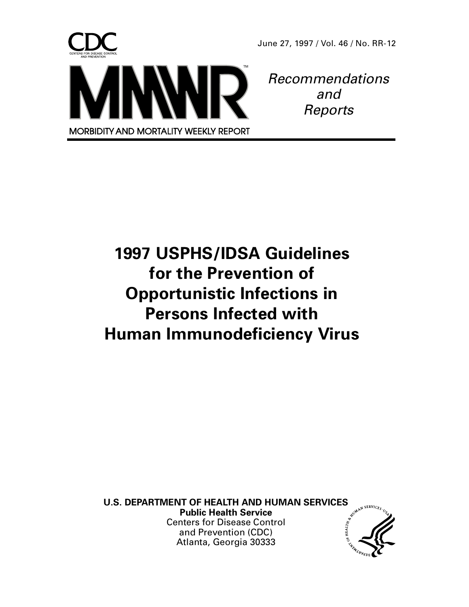

Recommendations and Reports

# **1997 USPHS/IDSA Guidelines for the Prevention of Opportunistic Infections in Persons Infected with Human Immunodeficiency Virus**

**U.S. DEPARTMENT OF HEALTH AND HUMAN SERVICES**<br>Public Health Service<br>Centers for Disease Cort **Public Health Service** Centers for Disease Control and Prevention (CDC) Atlanta, Georgia 30333

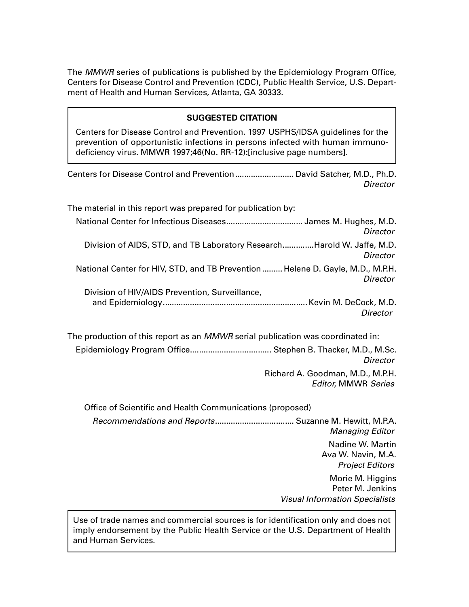The *MMWR* series of publications is published by the Epidemiology Program Office, Centers for Disease Control and Prevention (CDC), Public Health Service, U.S. Department of Health and Human Services, Atlanta, GA 30333.

## **SUGGESTED CITATION**

Centers for Disease Control and Prevention. 1997 USPHS/IDSA guidelines for the prevention of opportunistic infections in persons infected with human immunodeficiency virus. MMWR 1997;46(No. RR-12):[inclusive page numbers].

Centers for Disease Control and Prevention.......................... David Satcher, M.D., Ph.D. **Director** 

| The material in this report was prepared for publication by:                              |
|-------------------------------------------------------------------------------------------|
| Director                                                                                  |
| Division of AIDS, STD, and TB Laboratory ResearchHarold W. Jaffe, M.D.<br>Director        |
| National Center for HIV, STD, and TB Prevention Helene D. Gayle, M.D., M.P.H.<br>Director |
| Division of HIV/AIDS Prevention, Surveillance,<br>Director                                |

The production of this report as an *MMWR* serial publication was coordinated in: Epidemiology Program Office.................................... Stephen B. Thacker, M.D., M.Sc. **Director** Richard A. Goodman, M.D., M.P.H. Editor, MMWR Series

 Office of Scientific and Health Communications (proposed) Recommendations and Reports................................... Suzanne M. Hewitt, M.P.A. Managing Editor Nadine W. Martin Ava W. Navin, M.A. Project Editors Morie M. Higgins Peter M. Jenkins Visual Information Specialists

Use of trade names and commercial sources is for identification only and does not imply endorsement by the Public Health Service or the U.S. Department of Health and Human Services.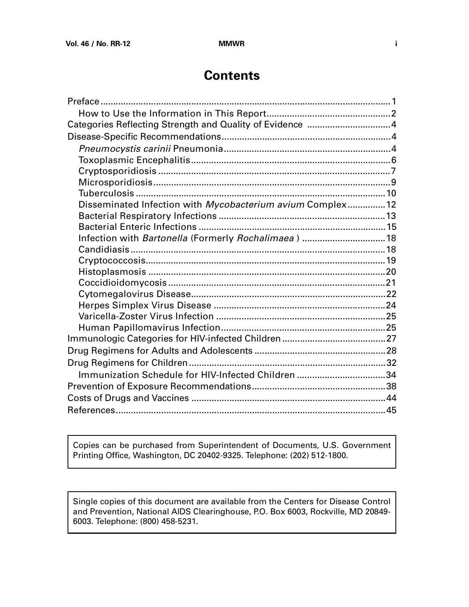# **Contents**

Copies can be purchased from Superintendent of Documents, U.S. Government Printing Office, Washington, DC 20402-9325. Telephone: (202) 512-1800.

Single copies of this document are available from the Centers for Disease Control and Prevention, National AIDS Clearinghouse, P.O. Box 6003, Rockville, MD 20849- 6003. Telephone: (800) 458-5231.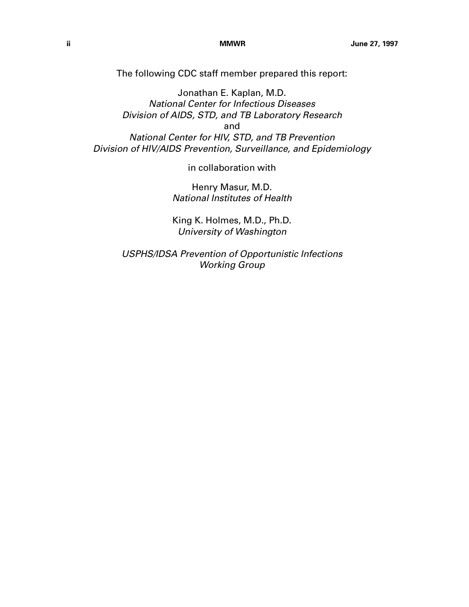The following CDC staff member prepared this report:

Jonathan E. Kaplan, M.D. National Center for Infectious Diseases Division of AIDS, STD, and TB Laboratory Research and National Center for HIV, STD, and TB Prevention Division of HIV/AIDS Prevention, Surveillance, and Epidemiology

in collaboration with

Henry Masur, M.D. National Institutes of Health

King K. Holmes, M.D., Ph.D. University of Washington

USPHS/IDSA Prevention of Opportunistic Infections Working Group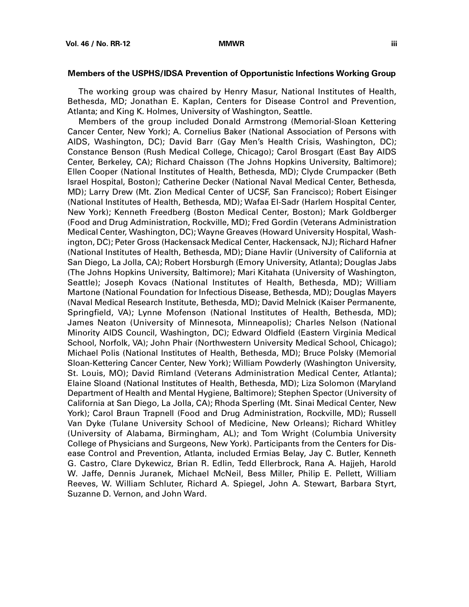#### **Members of the USPHS/IDSA Prevention of Opportunistic Infections Working Group**

The working group was chaired by Henry Masur, National Institutes of Health, Bethesda, MD; Jonathan E. Kaplan, Centers for Disease Control and Prevention, Atlanta; and King K. Holmes, University of Washington, Seattle.

Members of the group included Donald Armstrong (Memorial-Sloan Kettering Cancer Center, New York); A. Cornelius Baker (National Association of Persons with AIDS, Washington, DC); David Barr (Gay Men's Health Crisis, Washington, DC); Constance Benson (Rush Medical College, Chicago); Carol Brosgart (East Bay AIDS Center, Berkeley, CA); Richard Chaisson (The Johns Hopkins University, Baltimore); Ellen Cooper (National Institutes of Health, Bethesda, MD); Clyde Crumpacker (Beth Israel Hospital, Boston); Catherine Decker (National Naval Medical Center, Bethesda, MD); Larry Drew (Mt. Zion Medical Center of UCSF, San Francisco); Robert Eisinger (National Institutes of Health, Bethesda, MD); Wafaa El-Sadr (Harlem Hospital Center, New York); Kenneth Freedberg (Boston Medical Center, Boston); Mark Goldberger (Food and Drug Administration, Rockville, MD); Fred Gordin (Veterans Administration Medical Center, Washington, DC); Wayne Greaves (Howard University Hospital, Washington, DC); Peter Gross (Hackensack Medical Center, Hackensack, NJ); Richard Hafner (National Institutes of Health, Bethesda, MD); Diane Havlir (University of California at San Diego, La Jolla, CA); Robert Horsburgh (Emory University, Atlanta); Douglas Jabs (The Johns Hopkins University, Baltimore); Mari Kitahata (University of Washington, Seattle); Joseph Kovacs (National Institutes of Health, Bethesda, MD); William Martone (National Foundation for Infectious Disease, Bethesda, MD); Douglas Mayers (Naval Medical Research Institute, Bethesda, MD); David Melnick (Kaiser Permanente, Springfield, VA); Lynne Mofenson (National Institutes of Health, Bethesda, MD); James Neaton (University of Minnesota, Minneapolis); Charles Nelson (National Minority AIDS Council, Washington, DC); Edward Oldfield (Eastern Virginia Medical School, Norfolk, VA); John Phair (Northwestern University Medical School, Chicago); Michael Polis (National Institutes of Health, Bethesda, MD); Bruce Polsky (Memorial Sloan-Kettering Cancer Center, New York); William Powderly (Washington University, St. Louis, MO); David Rimland (Veterans Administration Medical Center, Atlanta); Elaine Sloand (National Institutes of Health, Bethesda, MD); Liza Solomon (Maryland Department of Health and Mental Hygiene, Baltimore); Stephen Spector (University of California at San Diego, La Jolla, CA); Rhoda Sperling (Mt. Sinai Medical Center, New York); Carol Braun Trapnell (Food and Drug Administration, Rockville, MD); Russell Van Dyke (Tulane University School of Medicine, New Orleans); Richard Whitley (University of Alabama, Birmingham, AL); and Tom Wright (Columbia University College of Physicians and Surgeons, New York). Participants from the Centers for Disease Control and Prevention, Atlanta, included Ermias Belay, Jay C. Butler, Kenneth G. Castro, Clare Dykewicz, Brian R. Edlin, Tedd Ellerbrock, Rana A. Hajjeh, Harold W. Jaffe, Dennis Juranek, Michael McNeil, Bess Miller, Philip E. Pellett, William Reeves, W. William Schluter, Richard A. Spiegel, John A. Stewart, Barbara Styrt, Suzanne D. Vernon, and John Ward.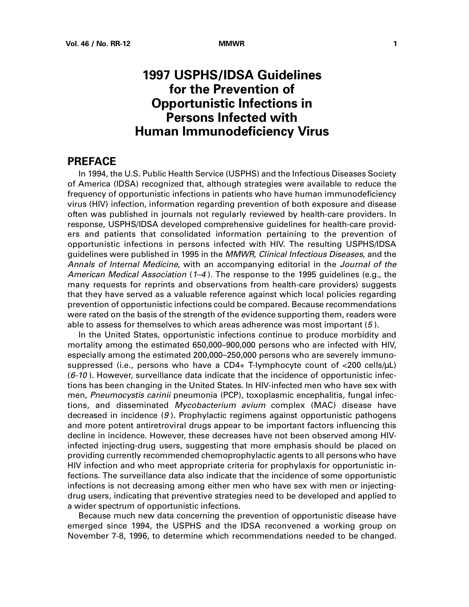# <span id="page-6-0"></span>**1997 USPHS/IDSA Guidelines for the Prevention of Opportunistic Infections in Persons Infected with Human Immunodeficiency Virus**

## **PREFACE**

In 1994, the U.S. Public Health Service (USPHS) and the Infectious Diseases Society of America (IDSA) recognized that, although strategies were available to reduce the frequency of opportunistic infections in patients who have human immunodeficiency virus (HIV) infection, information regarding prevention of both exposure and disease often was published in journals not regularly reviewed by health-care providers. In response, USPHS/IDSA developed comprehensive guidelines for health-care providers and patients that consolidated information pertaining to the prevention of opportunistic infections in persons infected with HIV. The resulting USPHS/IDSA guidelines were published in 1995 in the MMWR, Clinical Infectious Diseases, and the Annals of Internal Medicine, with an accompanying editorial in the Journal of the American Medical Association (1–4). The response to the 1995 guidelines (e.g., the many requests for reprints and observations from health-care providers) suggests that they have served as a valuable reference against which local policies regarding prevention of opportunistic infections could be compared. Because recommendations were rated on the basis of the strength of the evidence supporting them, readers were able to assess for themselves to which areas adherence was most important (5 ).

In the United States, opportunistic infections continue to produce morbidity and mortality among the estimated 650,000–900,000 persons who are infected with HIV, especially among the estimated 200,000–250,000 persons who are severely immunosuppressed (i.e., persons who have a CD4+ T-lymphocyte count of  $\langle$ 200 cells/ $\mu$ L)  $(6-10)$ . However, surveillance data indicate that the incidence of opportunistic infections has been changing in the United States. In HIV-infected men who have sex with men, Pneumocystis carinii pneumonia (PCP), toxoplasmic encephalitis, fungal infections, and disseminated *Mycobacterium avium* complex (MAC) disease have decreased in incidence (9 ). Prophylactic regimens against opportunistic pathogens and more potent antiretroviral drugs appear to be important factors influencing this decline in incidence. However, these decreases have not been observed among HIVinfected injecting-drug users, suggesting that more emphasis should be placed on providing currently recommended chemoprophylactic agents to all persons who have HIV infection and who meet appropriate criteria for prophylaxis for opportunistic infections. The surveillance data also indicate that the incidence of some opportunistic infections is not decreasing among either men who have sex with men or injectingdrug users, indicating that preventive strategies need to be developed and applied to a wider spectrum of opportunistic infections.

Because much new data concerning the prevention of opportunistic disease have emerged since 1994, the USPHS and the IDSA reconvened a working group on November 7-8, 1996, to determine which recommendations needed to be changed.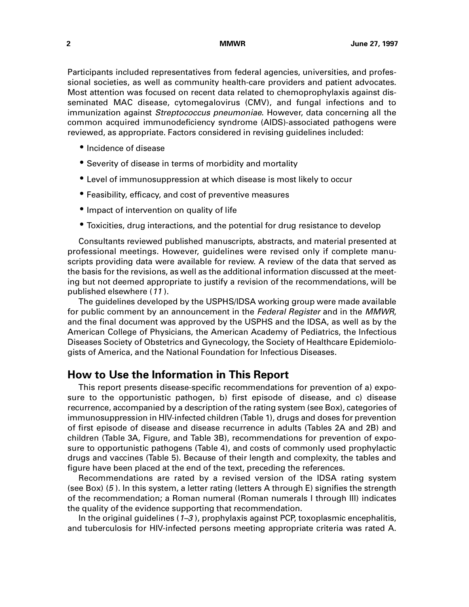<span id="page-7-0"></span>Participants included representatives from federal agencies, universities, and professional societies, as well as community health-care providers and patient advocates. Most attention was focused on recent data related to chemoprophylaxis against disseminated MAC disease, cytomegalovirus (CMV), and fungal infections and to immunization against *Streptococcus pneumoniae*. However, data concerning all the common acquired immunodeficiency syndrome (AIDS)-associated pathogens were reviewed, as appropriate. Factors considered in revising guidelines included:

- Incidence of disease
- Severity of disease in terms of morbidity and mortality
- Level of immunosuppression at which disease is most likely to occur
- Feasibility, efficacy, and cost of preventive measures
- Impact of intervention on quality of life
- Toxicities, drug interactions, and the potential for drug resistance to develop

Consultants reviewed published manuscripts, abstracts, and material presented at professional meetings. However, guidelines were revised only if complete manuscripts providing data were available for review. A review of the data that served as the basis for the revisions, as well as the additional information discussed at the meeting but not deemed appropriate to justify a revision of the recommendations, will be published elsewhere (11 ).

The guidelines developed by the USPHS/IDSA working group were made available for public comment by an announcement in the Federal Register and in the MMWR, and the final document was approved by the USPHS and the IDSA, as well as by the American College of Physicians, the American Academy of Pediatrics, the Infectious Diseases Society of Obstetrics and Gynecology, the Society of Healthcare Epidemiologists of America, and the National Foundation for Infectious Diseases.

# **How to Use the Information in This Report**

This report presents disease-specific recommendations for prevention of a) exposure to the opportunistic pathogen, b) first episode of disease, and c) disease recurrence, accompanied by a description of the rating system (see Box), categories of immunosuppression in HIV-infected children (Table 1), drugs and doses for prevention of first episode of disease and disease recurrence in adults (Tables 2A and 2B) and children (Table 3A, Figure, and Table 3B), recommendations for prevention of exposure to opportunistic pathogens (Table 4), and costs of commonly used prophylactic drugs and vaccines (Table 5). Because of their length and complexity, the tables and figure have been placed at the end of the text, preceding the references.

Recommendations are rated by a revised version of the IDSA rating system (see Box) (5 ). In this system, a letter rating (letters A through E) signifies the strength of the recommendation; a Roman numeral (Roman numerals I through III) indicates the quality of the evidence supporting that recommendation.

In the original guidelines (1–3 ), prophylaxis against PCP, toxoplasmic encephalitis, and tuberculosis for HIV-infected persons meeting appropriate criteria was rated A.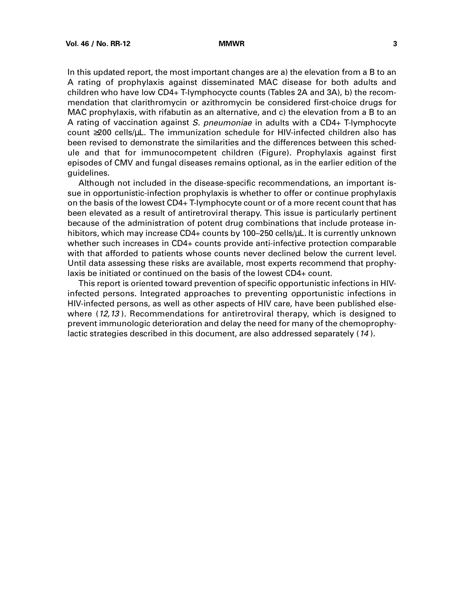In this updated report, the most important changes are a) the elevation from a B to an A rating of prophylaxis against disseminated MAC disease for both adults and children who have low CD4+ T-lymphocycte counts (Tables 2A and 3A), b) the recommendation that clarithromycin or azithromycin be considered first-choice drugs for MAC prophylaxis, with rifabutin as an alternative, and c) the elevation from a B to an A rating of vaccination against S. pneumoniae in adults with a CD4+ T-lymphocyte count ≥200 cells/µL. The immunization schedule for HIV-infected children also has been revised to demonstrate the similarities and the differences between this schedule and that for immunocompetent children (Figure). Prophylaxis against first episodes of CMV and fungal diseases remains optional, as in the earlier edition of the guidelines.

Although not included in the disease-specific recommendations, an important issue in opportunistic-infection prophylaxis is whether to offer or continue prophylaxis on the basis of the lowest CD4+ T-lymphocyte count or of a more recent count that has been elevated as a result of antiretroviral therapy. This issue is particularly pertinent because of the administration of potent drug combinations that include protease inhibitors, which may increase CD4+ counts by 100–250 cells/ $\mu$ L. It is currently unknown whether such increases in CD4+ counts provide anti-infective protection comparable with that afforded to patients whose counts never declined below the current level. Until data assessing these risks are available, most experts recommend that prophylaxis be initiated or continued on the basis of the lowest CD4+ count.

This report is oriented toward prevention of specific opportunistic infections in HIVinfected persons. Integrated approaches to preventing opportunistic infections in HIV-infected persons, as well as other aspects of HIV care, have been published elsewhere (12,13). Recommendations for antiretroviral therapy, which is designed to prevent immunologic deterioration and delay the need for many of the chemoprophylactic strategies described in this document, are also addressed separately (14 ).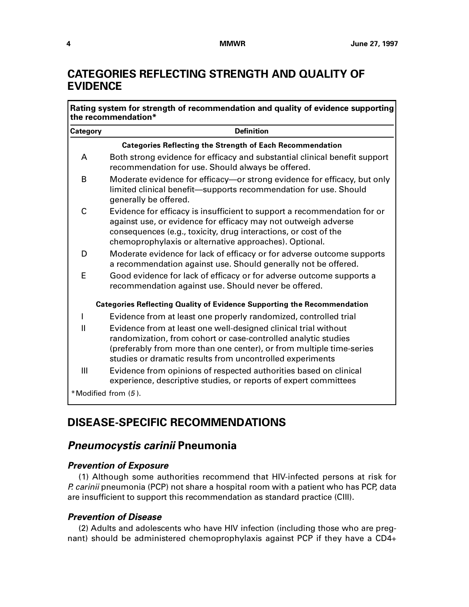# <span id="page-9-0"></span>**CATEGORIES REFLECTING STRENGTH AND QUALITY OF EVIDENCE**

| Category     | <b>Definition</b>                                                                                                                                                                                                                                                       |
|--------------|-------------------------------------------------------------------------------------------------------------------------------------------------------------------------------------------------------------------------------------------------------------------------|
|              | <b>Categories Reflecting the Strength of Each Recommendation</b>                                                                                                                                                                                                        |
| A            | Both strong evidence for efficacy and substantial clinical benefit support<br>recommendation for use. Should always be offered.                                                                                                                                         |
| B            | Moderate evidence for efficacy—or strong evidence for efficacy, but only<br>limited clinical benefit-supports recommendation for use. Should<br>generally be offered.                                                                                                   |
| C            | Evidence for efficacy is insufficient to support a recommendation for or<br>against use, or evidence for efficacy may not outweigh adverse<br>consequences (e.g., toxicity, drug interactions, or cost of the<br>chemoprophylaxis or alternative approaches). Optional. |
| D            | Moderate evidence for lack of efficacy or for adverse outcome supports<br>a recommendation against use. Should generally not be offered.                                                                                                                                |
| E            | Good evidence for lack of efficacy or for adverse outcome supports a<br>recommendation against use. Should never be offered.                                                                                                                                            |
|              | <b>Categories Reflecting Quality of Evidence Supporting the Recommendation</b>                                                                                                                                                                                          |
|              | Evidence from at least one properly randomized, controlled trial                                                                                                                                                                                                        |
| $\mathbf{I}$ | Evidence from at least one well-designed clinical trial without<br>randomization, from cohort or case-controlled analytic studies<br>(preferably from more than one center), or from multiple time-series<br>studies or dramatic results from uncontrolled experiments  |
| Ш            | Evidence from opinions of respected authorities based on clinical<br>experience, descriptive studies, or reports of expert committees                                                                                                                                   |

# **DISEASE-SPECIFIC RECOMMENDATIONS**

# **Pneumocystis carinii Pneumonia**

# **Prevention of Exposure**

(1) Although some authorities recommend that HIV-infected persons at risk for P. carinii pneumonia (PCP) not share a hospital room with a patient who has PCP, data are insufficient to support this recommendation as standard practice (CIII).

# **Prevention of Disease**

(2) Adults and adolescents who have HIV infection (including those who are pregnant) should be administered chemoprophylaxis against PCP if they have a CD4+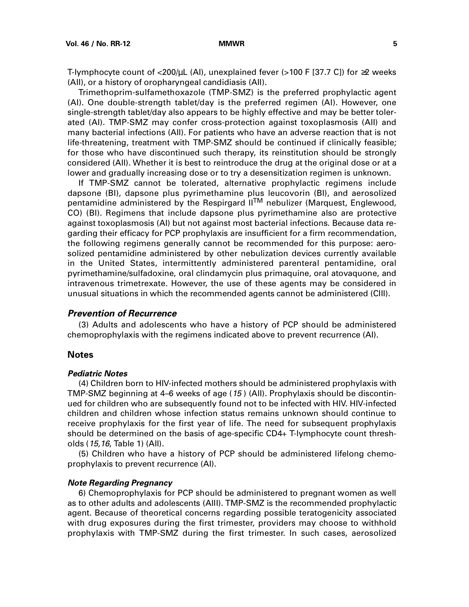T-lymphocyte count of  $\langle 200/\mu L \rangle$  (Al), unexplained fever (>100 F [37.7 C]) for  $\geq 2$  weeks (AII), or a history of oropharyngeal candidiasis (AII).

Trimethoprim-sulfamethoxazole (TMP-SMZ) is the preferred prophylactic agent (AI). One double-strength tablet/day is the preferred regimen (AI). However, one single-strength tablet/day also appears to be highly effective and may be better tolerated (AI). TMP-SMZ may confer cross-protection against toxoplasmosis (AII) and many bacterial infections (AII). For patients who have an adverse reaction that is not life-threatening, treatment with TMP-SMZ should be continued if clinically feasible; for those who have discontinued such therapy, its reinstitution should be strongly considered (AII). Whether it is best to reintroduce the drug at the original dose or at a lower and gradually increasing dose or to try a desensitization regimen is unknown.

If TMP-SMZ cannot be tolerated, alternative prophylactic regimens include dapsone (BI), dapsone plus pyrimethamine plus leucovorin (BI), and aerosolized pentamidine administered by the Respirgard IITM nebulizer (Marquest, Englewood, CO) (BI). Regimens that include dapsone plus pyrimethamine also are protective against toxoplasmosis (AI) but not against most bacterial infections. Because data regarding their efficacy for PCP prophylaxis are insufficient for a firm recommendation, the following regimens generally cannot be recommended for this purpose: aerosolized pentamidine administered by other nebulization devices currently available in the United States, intermittently administered parenteral pentamidine, oral pyrimethamine/sulfadoxine, oral clindamycin plus primaquine, oral atovaquone, and intravenous trimetrexate. However, the use of these agents may be considered in unusual situations in which the recommended agents cannot be administered (CIII).

### **Prevention of Recurrence**

(3) Adults and adolescents who have a history of PCP should be administered chemoprophylaxis with the regimens indicated above to prevent recurrence (AI).

#### **Notes**

#### **Pediatric Notes**

(4) Children born to HIV-infected mothers should be administered prophylaxis with TMP-SMZ beginning at 4–6 weeks of age (15 ) (AII). Prophylaxis should be discontinued for children who are subsequently found not to be infected with HIV. HIV-infected children and children whose infection status remains unknown should continue to receive prophylaxis for the first year of life. The need for subsequent prophylaxis should be determined on the basis of age-specific CD4+ T-lymphocyte count thresholds (15,16, Table 1) (AII).

(5) Children who have a history of PCP should be administered lifelong chemoprophylaxis to prevent recurrence (AI).

#### **Note Regarding Pregnancy**

6) Chemoprophylaxis for PCP should be administered to pregnant women as well as to other adults and adolescents (AIII). TMP-SMZ is the recommended prophylactic agent. Because of theoretical concerns regarding possible teratogenicity associated with drug exposures during the first trimester, providers may choose to withhold prophylaxis with TMP-SMZ during the first trimester. In such cases, aerosolized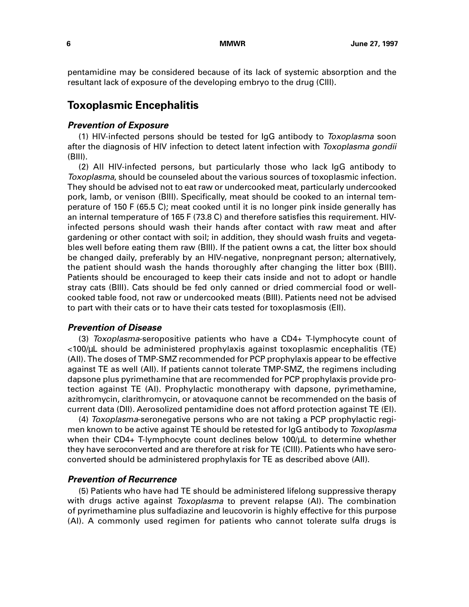<span id="page-11-0"></span>pentamidine may be considered because of its lack of systemic absorption and the resultant lack of exposure of the developing embryo to the drug (CIII).

# **Toxoplasmic Encephalitis**

#### **Prevention of Exposure**

(1) HIV-infected persons should be tested for IgG antibody to Toxoplasma soon after the diagnosis of HIV infection to detect latent infection with Toxoplasma gondii (BIII).

(2) All HIV-infected persons, but particularly those who lack IgG antibody to Toxoplasma, should be counseled about the various sources of toxoplasmic infection. They should be advised not to eat raw or undercooked meat, particularly undercooked pork, lamb, or venison (BIII). Specifically, meat should be cooked to an internal temperature of 150 F (65.5 C); meat cooked until it is no longer pink inside generally has an internal temperature of 165 F (73.8 C) and therefore satisfies this requirement. HIVinfected persons should wash their hands after contact with raw meat and after gardening or other contact with soil; in addition, they should wash fruits and vegetables well before eating them raw (BIII). If the patient owns a cat, the litter box should be changed daily, preferably by an HIV-negative, nonpregnant person; alternatively, the patient should wash the hands thoroughly after changing the litter box (BIII). Patients should be encouraged to keep their cats inside and not to adopt or handle stray cats (BIII). Cats should be fed only canned or dried commercial food or wellcooked table food, not raw or undercooked meats (BIII). Patients need not be advised to part with their cats or to have their cats tested for toxoplasmosis (EII).

#### **Prevention of Disease**

(3) Toxoplasma-seropositive patients who have a CD4+ T-lymphocyte count of <100/µL should be administered prophylaxis against toxoplasmic encephalitis (TE) (AII). The doses of TMP-SMZ recommended for PCP prophylaxis appear to be effective against TE as well (AII). If patients cannot tolerate TMP-SMZ, the regimens including dapsone plus pyrimethamine that are recommended for PCP prophylaxis provide protection against TE (AI). Prophylactic monotherapy with dapsone, pyrimethamine, azithromycin, clarithromycin, or atovaquone cannot be recommended on the basis of current data (DII). Aerosolized pentamidine does not afford protection against TE (EI).

(4) Toxoplasma-seronegative persons who are not taking a PCP prophylactic regimen known to be active against TE should be retested for IgG antibody to Toxoplasma when their CD4+ T-lymphocyte count declines below  $100/\mu$ L to determine whether they have seroconverted and are therefore at risk for TE (CIII). Patients who have seroconverted should be administered prophylaxis for TE as described above (AII).

#### **Prevention of Recurrence**

(5) Patients who have had TE should be administered lifelong suppressive therapy with drugs active against Toxoplasma to prevent relapse (AI). The combination of pyrimethamine plus sulfadiazine and leucovorin is highly effective for this purpose (AI). A commonly used regimen for patients who cannot tolerate sulfa drugs is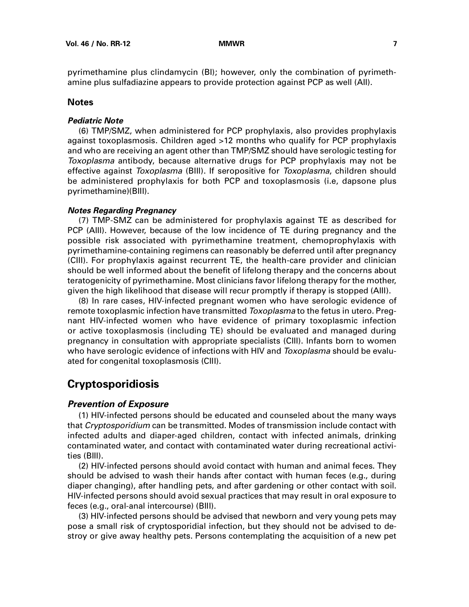<span id="page-12-0"></span>pyrimethamine plus clindamycin (BI); however, only the combination of pyrimethamine plus sulfadiazine appears to provide protection against PCP as well (AII).

#### **Notes**

#### **Pediatric Note**

(6) TMP/SMZ, when administered for PCP prophylaxis, also provides prophylaxis against toxoplasmosis. Children aged >12 months who qualify for PCP prophylaxis and who are receiving an agent other than TMP/SMZ should have serologic testing for Toxoplasma antibody, because alternative drugs for PCP prophylaxis may not be effective against Toxoplasma (BIII). If seropositive for Toxoplasma, children should be administered prophylaxis for both PCP and toxoplasmosis (i.e, dapsone plus pyrimethamine)(BIII).

#### **Notes Regarding Pregnancy**

(7) TMP-SMZ can be administered for prophylaxis against TE as described for PCP (AIII). However, because of the low incidence of TE during pregnancy and the possible risk associated with pyrimethamine treatment, chemoprophylaxis with pyrimethamine-containing regimens can reasonably be deferred until after pregnancy (CIII). For prophylaxis against recurrent TE, the health-care provider and clinician should be well informed about the benefit of lifelong therapy and the concerns about teratogenicity of pyrimethamine. Most clinicians favor lifelong therapy for the mother, given the high likelihood that disease will recur promptly if therapy is stopped (AIII).

(8) In rare cases, HIV-infected pregnant women who have serologic evidence of remote toxoplasmic infection have transmitted Toxoplasma to the fetus in utero. Pregnant HIV-infected women who have evidence of primary toxoplasmic infection or active toxoplasmosis (including TE) should be evaluated and managed during pregnancy in consultation with appropriate specialists (CIII). Infants born to women who have serologic evidence of infections with HIV and Toxoplasma should be evaluated for congenital toxoplasmosis (CIII).

# **Cryptosporidiosis**

#### **Prevention of Exposure**

(1) HIV-infected persons should be educated and counseled about the many ways that Cryptosporidium can be transmitted. Modes of transmission include contact with infected adults and diaper-aged children, contact with infected animals, drinking contaminated water, and contact with contaminated water during recreational activities (BIII).

(2) HIV-infected persons should avoid contact with human and animal feces. They should be advised to wash their hands after contact with human feces (e.g., during diaper changing), after handling pets, and after gardening or other contact with soil. HIV-infected persons should avoid sexual practices that may result in oral exposure to feces (e.g., oral-anal intercourse) (BIII).

(3) HIV-infected persons should be advised that newborn and very young pets may pose a small risk of cryptosporidial infection, but they should not be advised to destroy or give away healthy pets. Persons contemplating the acquisition of a new pet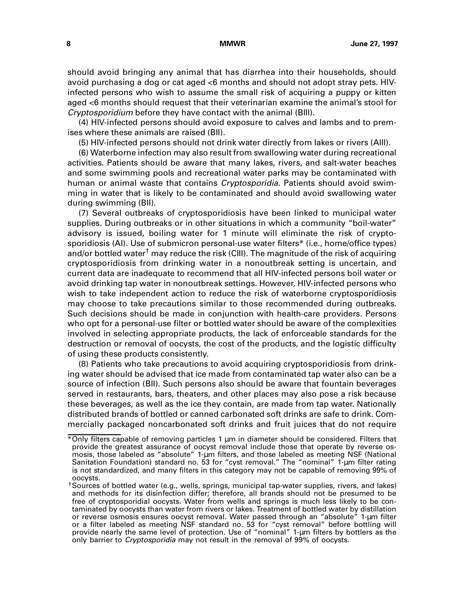should avoid bringing any animal that has diarrhea into their households, should avoid purchasing a dog or cat aged <6 months and should not adopt stray pets. HIVinfected persons who wish to assume the small risk of acquiring a puppy or kitten aged <6 months should request that their veterinarian examine the animal's stool for Cryptosporidium before they have contact with the animal (BIII).

(4) HIV-infected persons should avoid exposure to calves and lambs and to premises where these animals are raised (BII).

(5) HIV-infected persons should not drink water directly from lakes or rivers (AIII).

(6) Waterborne infection may also result from swallowing water during recreational activities. Patients should be aware that many lakes, rivers, and salt-water beaches and some swimming pools and recreational water parks may be contaminated with human or animal waste that contains *Cryptosporidia*. Patients should avoid swimming in water that is likely to be contaminated and should avoid swallowing water during swimming (BII).

(7) Several outbreaks of cryptosporidiosis have been linked to municipal water supplies. During outbreaks or in other situations in which a community "boil-water" advisory is issued, boiling water for 1 minute will eliminate the risk of cryptosporidiosis (AI). Use of submicron personal-use water filters\* (i.e., home/office types) and/or bottled water<sup>†</sup> may reduce the risk (CIII). The magnitude of the risk of acquiring cryptosporidiosis from drinking water in a nonoutbreak setting is uncertain, and current data are inadequate to recommend that all HIV-infected persons boil water or avoid drinking tap water in nonoutbreak settings. However, HIV-infected persons who wish to take independent action to reduce the risk of waterborne cryptosporidiosis may choose to take precautions similar to those recommended during outbreaks. Such decisions should be made in conjunction with health-care providers. Persons who opt for a personal-use filter or bottled water should be aware of the complexities involved in selecting appropriate products, the lack of enforceable standards for the destruction or removal of oocysts, the cost of the products, and the logistic difficulty of using these products consistently.

(8) Patients who take precautions to avoid acquiring cryptosporidiosis from drinking water should be advised that ice made from contaminated tap water also can be a source of infection (BII). Such persons also should be aware that fountain beverages served in restaurants, bars, theaters, and other places may also pose a risk because these beverages, as well as the ice they contain, are made from tap water. Nationally distributed brands of bottled or canned carbonated soft drinks are safe to drink. Commercially packaged noncarbonated soft drinks and fruit juices that do not require

 $*$ Only filters capable of removing particles 1  $\mu$ m in diameter should be considered. Filters that provide the greatest assurance of oocyst removal include those that operate by reverse osmosis, those labeled as "absolute" 1-µm filters, and those labeled as meeting NSF (National Sanitation Foundation) standard no. 53 for "cyst removal." The "nominal" 1-µm filter rating is not standardized, and many filters in this category may not be capable of removing 99% of oocysts.

<sup>†</sup>Sources of bottled water (e.g., wells, springs, municipal tap-water supplies, rivers, and lakes) and methods for its disinfection differ; therefore, all brands should not be presumed to be free of cryptosporidial oocysts. Water from wells and springs is much less likely to be contaminated by oocysts than water from rivers or lakes. Treatment of bottled water by distillation or reverse osmosis ensures oocyst removal. Water passed through an "absolute" 1-µm filter or a filter labeled as meeting NSF standard no. 53 for "cyst removal" before bottling will provide nearly the same level of protection. Use of "nominal" 1-µm filters by bottlers as the only barrier to *Cryptosporidia* may not result in the removal of 99% of oocysts.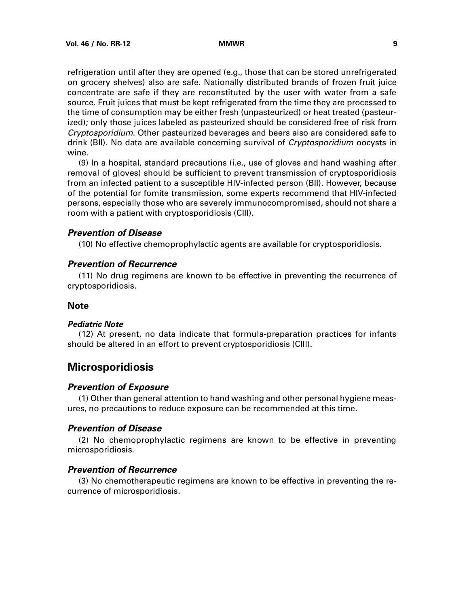<span id="page-14-0"></span>refrigeration until after they are opened (e.g., those that can be stored unrefrigerated on grocery shelves) also are safe. Nationally distributed brands of frozen fruit juice concentrate are safe if they are reconstituted by the user with water from a safe source. Fruit juices that must be kept refrigerated from the time they are processed to the time of consumption may be either fresh (unpasteurized) or heat treated (pasteurized); only those juices labeled as pasteurized should be considered free of risk from Cryptosporidium. Other pasteurized beverages and beers also are considered safe to drink (BII). No data are available concerning survival of Cryptosporidium oocysts in wine.

(9) In a hospital, standard precautions (i.e., use of gloves and hand washing after removal of gloves) should be sufficient to prevent transmission of cryptosporidiosis from an infected patient to a susceptible HIV-infected person (BII). However, because of the potential for fomite transmission, some experts recommend that HIV-infected persons, especially those who are severely immunocompromised, should not share a room with a patient with cryptosporidiosis (CIII).

### **Prevention of Disease**

(10) No effective chemoprophylactic agents are available for cryptosporidiosis.

### **Prevention of Recurrence**

(11) No drug regimens are known to be effective in preventing the recurrence of cryptosporidiosis.

#### **Note**

#### **Pediatric Note**

(12) At present, no data indicate that formula-preparation practices for infants should be altered in an effort to prevent cryptosporidiosis (CIII).

# **Microsporidiosis**

### **Prevention of Exposure**

(1) Other than general attention to hand washing and other personal hygiene measures, no precautions to reduce exposure can be recommended at this time.

#### **Prevention of Disease**

(2) No chemoprophylactic regimens are known to be effective in preventing microsporidiosis.

### **Prevention of Recurrence**

(3) No chemotherapeutic regimens are known to be effective in preventing the recurrence of microsporidiosis.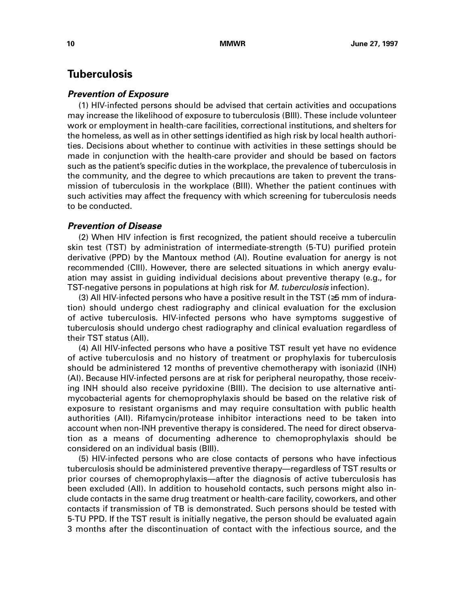# <span id="page-15-0"></span>**Tuberculosis**

#### **Prevention of Exposure**

(1) HIV-infected persons should be advised that certain activities and occupations may increase the likelihood of exposure to tuberculosis (BIII). These include volunteer work or employment in health-care facilities, correctional institutions, and shelters for the homeless, as well as in other settings identified as high risk by local health authorities. Decisions about whether to continue with activities in these settings should be made in conjunction with the health-care provider and should be based on factors such as the patient's specific duties in the workplace, the prevalence of tuberculosis in the community, and the degree to which precautions are taken to prevent the transmission of tuberculosis in the workplace (BIII). Whether the patient continues with such activities may affect the frequency with which screening for tuberculosis needs to be conducted.

#### **Prevention of Disease**

(2) When HIV infection is first recognized, the patient should receive a tuberculin skin test (TST) by administration of intermediate-strength (5-TU) purified protein derivative (PPD) by the Mantoux method (AI). Routine evaluation for anergy is not recommended (CIII). However, there are selected situations in which anergy evaluation may assist in guiding individual decisions about preventive therapy (e.g., for TST-negative persons in populations at high risk for *M. tuberculosis* infection).

(3) All HIV-infected persons who have a positive result in the TST (≥5 mm of induration) should undergo chest radiography and clinical evaluation for the exclusion of active tuberculosis. HIV-infected persons who have symptoms suggestive of tuberculosis should undergo chest radiography and clinical evaluation regardless of their TST status (AII).

(4) All HIV-infected persons who have a positive TST result yet have no evidence of active tuberculosis and no history of treatment or prophylaxis for tuberculosis should be administered 12 months of preventive chemotherapy with isoniazid (INH) (AI). Because HIV-infected persons are at risk for peripheral neuropathy, those receiving INH should also receive pyridoxine (BIII). The decision to use alternative antimycobacterial agents for chemoprophylaxis should be based on the relative risk of exposure to resistant organisms and may require consultation with public health authorities (AII). Rifamycin/protease inhibitor interactions need to be taken into account when non-INH preventive therapy is considered. The need for direct observation as a means of documenting adherence to chemoprophylaxis should be considered on an individual basis (BIII).

(5) HIV-infected persons who are close contacts of persons who have infectious tuberculosis should be administered preventive therapy—regardless of TST results or prior courses of chemoprophylaxis—after the diagnosis of active tuberculosis has been excluded (AII). In addition to household contacts, such persons might also include contacts in the same drug treatment or health-care facility, coworkers, and other contacts if transmission of TB is demonstrated. Such persons should be tested with 5-TU PPD. If the TST result is initially negative, the person should be evaluated again 3 months after the discontinuation of contact with the infectious source, and the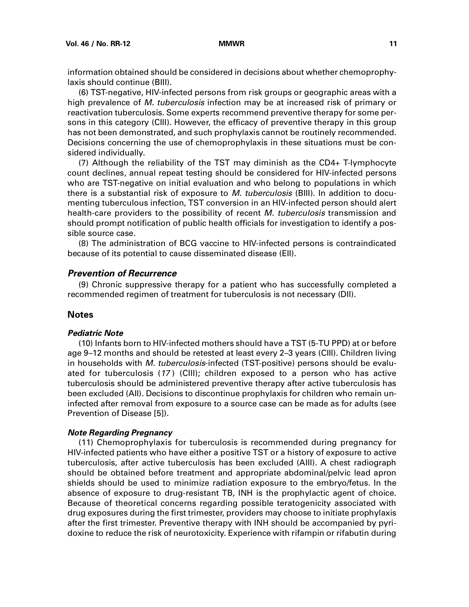information obtained should be considered in decisions about whether chemoprophylaxis should continue (BIII).

(6) TST-negative, HIV-infected persons from risk groups or geographic areas with a high prevalence of M. tuberculosis infection may be at increased risk of primary or reactivation tuberculosis. Some experts recommend preventive therapy for some persons in this category (CIII). However, the efficacy of preventive therapy in this group has not been demonstrated, and such prophylaxis cannot be routinely recommended. Decisions concerning the use of chemoprophylaxis in these situations must be considered individually.

(7) Although the reliability of the TST may diminish as the CD4+ T-lymphocyte count declines, annual repeat testing should be considered for HIV-infected persons who are TST-negative on initial evaluation and who belong to populations in which there is a substantial risk of exposure to M. tuberculosis (BIII). In addition to documenting tuberculous infection, TST conversion in an HIV-infected person should alert health-care providers to the possibility of recent *M. tuberculosis* transmission and should prompt notification of public health officials for investigation to identify a possible source case.

(8) The administration of BCG vaccine to HIV-infected persons is contraindicated because of its potential to cause disseminated disease (EII).

#### **Prevention of Recurrence**

(9) Chronic suppressive therapy for a patient who has successfully completed a recommended regimen of treatment for tuberculosis is not necessary (DII).

#### **Notes**

#### **Pediatric Note**

(10) Infants born to HIV-infected mothers should have a TST (5-TU PPD) at or before age 9–12 months and should be retested at least every 2–3 years (CIII). Children living in households with M. tuberculosis-infected (TST-positive) persons should be evaluated for tuberculosis (17 ) (CIII); children exposed to a person who has active tuberculosis should be administered preventive therapy after active tuberculosis has been excluded (AII). Decisions to discontinue prophylaxis for children who remain uninfected after removal from exposure to a source case can be made as for adults (see Prevention of Disease [5]).

#### **Note Regarding Pregnancy**

(11) Chemoprophylaxis for tuberculosis is recommended during pregnancy for HIV-infected patients who have either a positive TST or a history of exposure to active tuberculosis, after active tuberculosis has been excluded (AIII). A chest radiograph should be obtained before treatment and appropriate abdominal/pelvic lead apron shields should be used to minimize radiation exposure to the embryo/fetus. In the absence of exposure to drug-resistant TB, INH is the prophylactic agent of choice. Because of theoretical concerns regarding possible teratogenicity associated with drug exposures during the first trimester, providers may choose to initiate prophylaxis after the first trimester. Preventive therapy with INH should be accompanied by pyridoxine to reduce the risk of neurotoxicity. Experience with rifampin or rifabutin during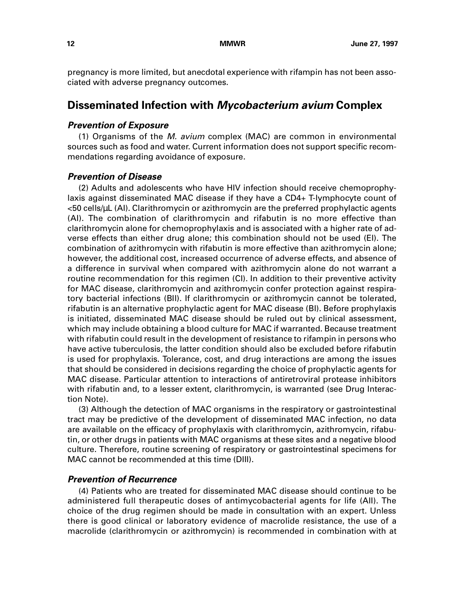<span id="page-17-0"></span>

pregnancy is more limited, but anecdotal experience with rifampin has not been associated with adverse pregnancy outcomes.

# **Disseminated Infection with Mycobacterium avium Complex**

#### **Prevention of Exposure**

(1) Organisms of the M. avium complex (MAC) are common in environmental sources such as food and water. Current information does not support specific recommendations regarding avoidance of exposure.

### **Prevention of Disease**

(2) Adults and adolescents who have HIV infection should receive chemoprophylaxis against disseminated MAC disease if they have a CD4+ T-lymphocyte count of <50 cells/µL (AI). Clarithromycin or azithromycin are the preferred prophylactic agents (AI). The combination of clarithromycin and rifabutin is no more effective than clarithromycin alone for chemoprophylaxis and is associated with a higher rate of adverse effects than either drug alone; this combination should not be used (EI). The combination of azithromycin with rifabutin is more effective than azithromycin alone; however, the additional cost, increased occurrence of adverse effects, and absence of a difference in survival when compared with azithromycin alone do not warrant a routine recommendation for this regimen (CI). In addition to their preventive activity for MAC disease, clarithromycin and azithromycin confer protection against respiratory bacterial infections (BII). If clarithromycin or azithromycin cannot be tolerated, rifabutin is an alternative prophylactic agent for MAC disease (BI). Before prophylaxis is initiated, disseminated MAC disease should be ruled out by clinical assessment, which may include obtaining a blood culture for MAC if warranted. Because treatment with rifabutin could result in the development of resistance to rifampin in persons who have active tuberculosis, the latter condition should also be excluded before rifabutin is used for prophylaxis. Tolerance, cost, and drug interactions are among the issues that should be considered in decisions regarding the choice of prophylactic agents for MAC disease. Particular attention to interactions of antiretroviral protease inhibitors with rifabutin and, to a lesser extent, clarithromycin, is warranted (see Drug Interaction Note).

(3) Although the detection of MAC organisms in the respiratory or gastrointestinal tract may be predictive of the development of disseminated MAC infection, no data are available on the efficacy of prophylaxis with clarithromycin, azithromycin, rifabutin, or other drugs in patients with MAC organisms at these sites and a negative blood culture. Therefore, routine screening of respiratory or gastrointestinal specimens for MAC cannot be recommended at this time (DIII).

### **Prevention of Recurrence**

(4) Patients who are treated for disseminated MAC disease should continue to be administered full therapeutic doses of antimycobacterial agents for life (AII). The choice of the drug regimen should be made in consultation with an expert. Unless there is good clinical or laboratory evidence of macrolide resistance, the use of a macrolide (clarithromycin or azithromycin) is recommended in combination with at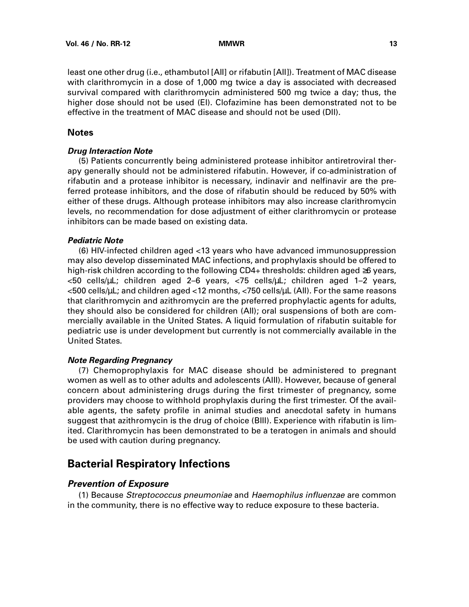<span id="page-18-0"></span>least one other drug (i.e., ethambutol [AII] or rifabutin [AII]). Treatment of MAC disease with clarithromycin in a dose of 1,000 mg twice a day is associated with decreased survival compared with clarithromycin administered 500 mg twice a day; thus, the higher dose should not be used (EI). Clofazimine has been demonstrated not to be effective in the treatment of MAC disease and should not be used (DII).

### **Notes**

#### **Drug Interaction Note**

(5) Patients concurrently being administered protease inhibitor antiretroviral therapy generally should not be administered rifabutin. However, if co-administration of rifabutin and a protease inhibitor is necessary, indinavir and nelfinavir are the preferred protease inhibitors, and the dose of rifabutin should be reduced by 50% with either of these drugs. Although protease inhibitors may also increase clarithromycin levels, no recommendation for dose adjustment of either clarithromycin or protease inhibitors can be made based on existing data.

#### **Pediatric Note**

(6) HIV-infected children aged <13 years who have advanced immunosuppression may also develop disseminated MAC infections, and prophylaxis should be offered to high-risk children according to the following CD4+ thresholds: children aged ≥6 years,  $<$ 50 cells/ $\mu$ L; children aged 2–6 years,  $<$ 75 cells/ $\mu$ L; children aged 1–2 years, <500 cells/µL; and children aged <12 months, <750 cells/µL (AII). For the same reasons that clarithromycin and azithromycin are the preferred prophylactic agents for adults, they should also be considered for children (AII); oral suspensions of both are commercially available in the United States. A liquid formulation of rifabutin suitable for pediatric use is under development but currently is not commercially available in the United States.

#### **Note Regarding Pregnancy**

(7) Chemoprophylaxis for MAC disease should be administered to pregnant women as well as to other adults and adolescents (AIII). However, because of general concern about administering drugs during the first trimester of pregnancy, some providers may choose to withhold prophylaxis during the first trimester. Of the available agents, the safety profile in animal studies and anecdotal safety in humans suggest that azithromycin is the drug of choice (BIII). Experience with rifabutin is limited. Clarithromycin has been demonstrated to be a teratogen in animals and should be used with caution during pregnancy.

# **Bacterial Respiratory Infections**

#### **Prevention of Exposure**

(1) Because Streptococcus pneumoniae and Haemophilus influenzae are common in the community, there is no effective way to reduce exposure to these bacteria.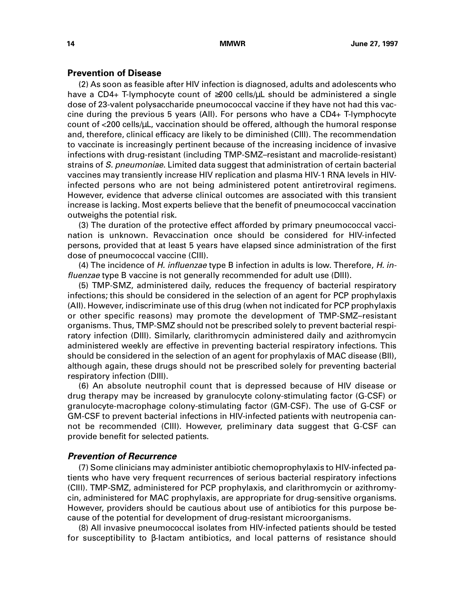## **Prevention of Disease**

(2) As soon as feasible after HIV infection is diagnosed, adults and adolescents who have a CD4+ T-lymphocyte count of ≥200 cells/µL should be administered a single dose of 23-valent polysaccharide pneumococcal vaccine if they have not had this vaccine during the previous 5 years (AII). For persons who have a CD4+ T-lymphocyte count of <200 cells/µL, vaccination should be offered, although the humoral response and, therefore, clinical efficacy are likely to be diminished (CIII). The recommendation to vaccinate is increasingly pertinent because of the increasing incidence of invasive infections with drug-resistant (including TMP-SMZ–resistant and macrolide-resistant) strains of S. pneumoniae. Limited data suggest that administration of certain bacterial vaccines may transiently increase HIV replication and plasma HIV-1 RNA levels in HIVinfected persons who are not being administered potent antiretroviral regimens. However, evidence that adverse clinical outcomes are associated with this transient increase is lacking. Most experts believe that the benefit of pneumococcal vaccination outweighs the potential risk.

(3) The duration of the protective effect afforded by primary pneumococcal vaccination is unknown. Revaccination once should be considered for HIV-infected persons, provided that at least 5 years have elapsed since administration of the first dose of pneumococcal vaccine (CIII).

(4) The incidence of H. influenzae type B infection in adults is low. Therefore, H. influenzae type B vaccine is not generally recommended for adult use (DIII).

(5) TMP-SMZ, administered daily, reduces the frequency of bacterial respiratory infections; this should be considered in the selection of an agent for PCP prophylaxis (AII). However, indiscriminate use of this drug (when not indicated for PCP prophylaxis or other specific reasons) may promote the development of TMP-SMZ–resistant organisms. Thus, TMP-SMZ should not be prescribed solely to prevent bacterial respiratory infection (DIII). Similarly, clarithromycin administered daily and azithromycin administered weekly are effective in preventing bacterial respiratory infections. This should be considered in the selection of an agent for prophylaxis of MAC disease (BII), although again, these drugs should not be prescribed solely for preventing bacterial respiratory infection (DIII).

(6) An absolute neutrophil count that is depressed because of HIV disease or drug therapy may be increased by granulocyte colony-stimulating factor (G-CSF) or granulocyte-macrophage colony-stimulating factor (GM-CSF). The use of G-CSF or GM-CSF to prevent bacterial infections in HIV-infected patients with neutropenia cannot be recommended (CIII). However, preliminary data suggest that G-CSF can provide benefit for selected patients.

#### **Prevention of Recurrence**

(7) Some clinicians may administer antibiotic chemoprophylaxis to HIV-infected patients who have very frequent recurrences of serious bacterial respiratory infections (CIII). TMP-SMZ, administered for PCP prophylaxis, and clarithromycin or azithromycin, administered for MAC prophylaxis, are appropriate for drug-sensitive organisms. However, providers should be cautious about use of antibiotics for this purpose because of the potential for development of drug-resistant microorganisms.

(8) All invasive pneumococcal isolates from HIV-infected patients should be tested for susceptibility to β-lactam antibiotics, and local patterns of resistance should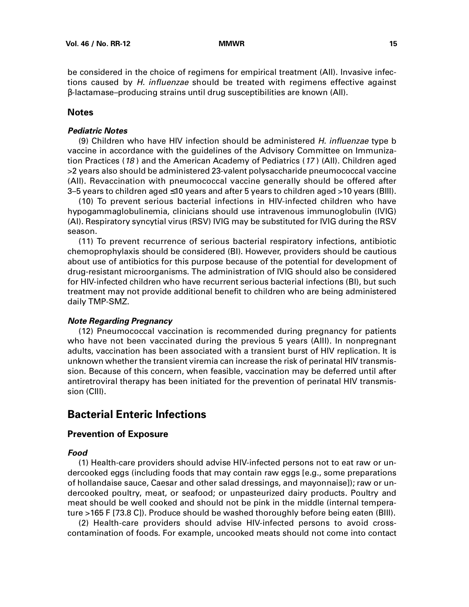<span id="page-20-0"></span>be considered in the choice of regimens for empirical treatment (AII). Invasive infections caused by H. influenzae should be treated with regimens effective against β-lactamase–producing strains until drug susceptibilities are known (AII).

#### **Notes**

#### **Pediatric Notes**

(9) Children who have HIV infection should be administered H. influenzae type b vaccine in accordance with the guidelines of the Advisory Committee on Immunization Practices (18 ) and the American Academy of Pediatrics (17 ) (AII). Children aged >2 years also should be administered 23-valent polysaccharide pneumococcal vaccine (AII). Revaccination with pneumococcal vaccine generally should be offered after 3–5 years to children aged ≤10 years and after 5 years to children aged >10 years (BIII).

(10) To prevent serious bacterial infections in HIV-infected children who have hypogammaglobulinemia, clinicians should use intravenous immunoglobulin (IVIG) (AI). Respiratory syncytial virus (RSV) IVIG may be substituted for IVIG during the RSV season.

(11) To prevent recurrence of serious bacterial respiratory infections, antibiotic chemoprophylaxis should be considered (BI). However, providers should be cautious about use of antibiotics for this purpose because of the potential for development of drug-resistant microorganisms. The administration of IVIG should also be considered for HIV-infected children who have recurrent serious bacterial infections (BI), but such treatment may not provide additional benefit to children who are being administered daily TMP-SMZ.

#### **Note Regarding Pregnancy**

(12) Pneumococcal vaccination is recommended during pregnancy for patients who have not been vaccinated during the previous 5 years (AIII). In nonpregnant adults, vaccination has been associated with a transient burst of HIV replication. It is unknown whether the transient viremia can increase the risk of perinatal HIV transmission. Because of this concern, when feasible, vaccination may be deferred until after antiretroviral therapy has been initiated for the prevention of perinatal HIV transmission (CIII).

# **Bacterial Enteric Infections**

### **Prevention of Exposure**

#### **Food**

(1) Health-care providers should advise HIV-infected persons not to eat raw or undercooked eggs (including foods that may contain raw eggs [e.g., some preparations of hollandaise sauce, Caesar and other salad dressings, and mayonnaise]); raw or undercooked poultry, meat, or seafood; or unpasteurized dairy products. Poultry and meat should be well cooked and should not be pink in the middle (internal temperature >165 F [73.8 C]). Produce should be washed thoroughly before being eaten (BIII).

(2) Health-care providers should advise HIV-infected persons to avoid crosscontamination of foods. For example, uncooked meats should not come into contact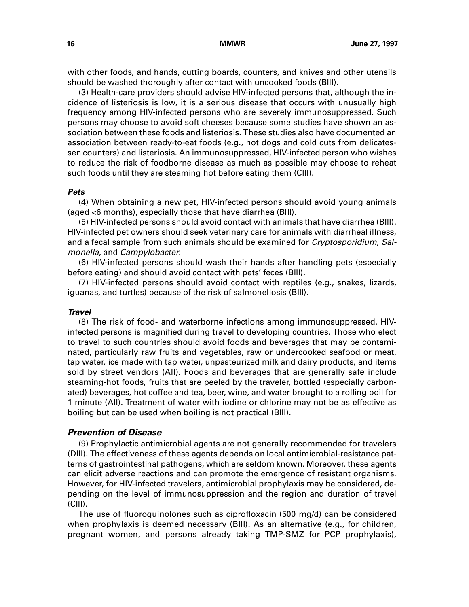with other foods, and hands, cutting boards, counters, and knives and other utensils should be washed thoroughly after contact with uncooked foods (BIII).

(3) Health-care providers should advise HIV-infected persons that, although the incidence of listeriosis is low, it is a serious disease that occurs with unusually high frequency among HIV-infected persons who are severely immunosuppressed. Such persons may choose to avoid soft cheeses because some studies have shown an association between these foods and listeriosis. These studies also have documented an association between ready-to-eat foods (e.g., hot dogs and cold cuts from delicatessen counters) and listeriosis. An immunosuppressed, HIV-infected person who wishes to reduce the risk of foodborne disease as much as possible may choose to reheat such foods until they are steaming hot before eating them (CIII).

#### **Pets**

(4) When obtaining a new pet, HIV-infected persons should avoid young animals (aged <6 months), especially those that have diarrhea (BIII).

(5) HIV-infected persons should avoid contact with animals that have diarrhea (BIII). HIV-infected pet owners should seek veterinary care for animals with diarrheal illness, and a fecal sample from such animals should be examined for *Cryptosporidium*, Salmonella, and Campylobacter.

(6) HIV-infected persons should wash their hands after handling pets (especially before eating) and should avoid contact with pets' feces (BIII).

(7) HIV-infected persons should avoid contact with reptiles (e.g., snakes, lizards, iguanas, and turtles) because of the risk of salmonellosis (BIII).

#### **Travel**

(8) The risk of food- and waterborne infections among immunosuppressed, HIVinfected persons is magnified during travel to developing countries. Those who elect to travel to such countries should avoid foods and beverages that may be contaminated, particularly raw fruits and vegetables, raw or undercooked seafood or meat, tap water, ice made with tap water, unpasteurized milk and dairy products, and items sold by street vendors (AII). Foods and beverages that are generally safe include steaming-hot foods, fruits that are peeled by the traveler, bottled (especially carbonated) beverages, hot coffee and tea, beer, wine, and water brought to a rolling boil for 1 minute (AII). Treatment of water with iodine or chlorine may not be as effective as boiling but can be used when boiling is not practical (BIII).

#### **Prevention of Disease**

(9) Prophylactic antimicrobial agents are not generally recommended for travelers (DIII). The effectiveness of these agents depends on local antimicrobial-resistance patterns of gastrointestinal pathogens, which are seldom known. Moreover, these agents can elicit adverse reactions and can promote the emergence of resistant organisms. However, for HIV-infected travelers, antimicrobial prophylaxis may be considered, depending on the level of immunosuppression and the region and duration of travel (CIII).

The use of fluoroquinolones such as ciprofloxacin (500 mg/d) can be considered when prophylaxis is deemed necessary (BIII). As an alternative (e.g., for children, pregnant women, and persons already taking TMP-SMZ for PCP prophylaxis),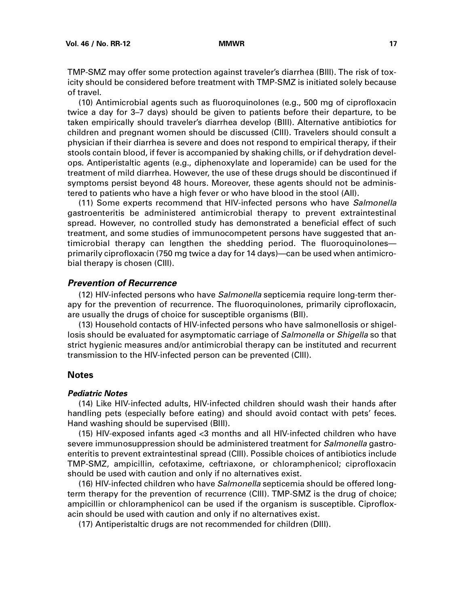TMP-SMZ may offer some protection against traveler's diarrhea (BIII). The risk of toxicity should be considered before treatment with TMP-SMZ is initiated solely because of travel.

(10) Antimicrobial agents such as fluoroquinolones (e.g., 500 mg of ciprofloxacin twice a day for 3–7 days) should be given to patients before their departure, to be taken empirically should traveler's diarrhea develop (BIII). Alternative antibiotics for children and pregnant women should be discussed (CIII). Travelers should consult a physician if their diarrhea is severe and does not respond to empirical therapy, if their stools contain blood, if fever is accompanied by shaking chills, or if dehydration develops. Antiperistaltic agents (e.g., diphenoxylate and loperamide) can be used for the treatment of mild diarrhea. However, the use of these drugs should be discontinued if symptoms persist beyond 48 hours. Moreover, these agents should not be administered to patients who have a high fever or who have blood in the stool (AII).

(11) Some experts recommend that HIV-infected persons who have Salmonella gastroenteritis be administered antimicrobial therapy to prevent extraintestinal spread. However, no controlled study has demonstrated a beneficial effect of such treatment, and some studies of immunocompetent persons have suggested that antimicrobial therapy can lengthen the shedding period. The fluoroquinolones primarily ciprofloxacin (750 mg twice a day for 14 days)—can be used when antimicrobial therapy is chosen (CIII).

#### **Prevention of Recurrence**

(12) HIV-infected persons who have Salmonella septicemia require long-term therapy for the prevention of recurrence. The fluoroquinolones, primarily ciprofloxacin, are usually the drugs of choice for susceptible organisms (BII).

(13) Household contacts of HIV-infected persons who have salmonellosis or shigellosis should be evaluated for asymptomatic carriage of Salmonella or Shigella so that strict hygienic measures and/or antimicrobial therapy can be instituted and recurrent transmission to the HIV-infected person can be prevented (CIII).

### **Notes**

#### **Pediatric Notes**

(14) Like HIV-infected adults, HIV-infected children should wash their hands after handling pets (especially before eating) and should avoid contact with pets' feces. Hand washing should be supervised (BIII).

(15) HIV-exposed infants aged <3 months and all HIV-infected children who have severe immunosuppression should be administered treatment for *Salmonella* gastroenteritis to prevent extraintestinal spread (CIII). Possible choices of antibiotics include TMP-SMZ, ampicillin, cefotaxime, ceftriaxone, or chloramphenicol; ciprofloxacin should be used with caution and only if no alternatives exist.

(16) HIV-infected children who have Salmonella septicemia should be offered longterm therapy for the prevention of recurrence (CIII). TMP-SMZ is the drug of choice; ampicillin or chloramphenicol can be used if the organism is susceptible. Ciprofloxacin should be used with caution and only if no alternatives exist.

(17) Antiperistaltic drugs are not recommended for children (DIII).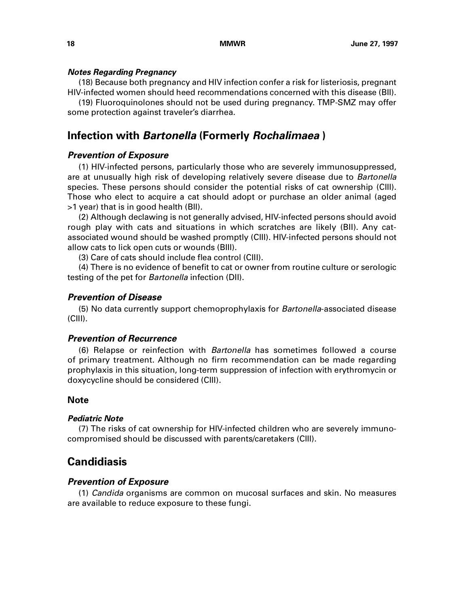#### <span id="page-23-0"></span>**Notes Regarding Pregnancy**

(18) Because both pregnancy and HIV infection confer a risk for listeriosis, pregnant HIV-infected women should heed recommendations concerned with this disease (BII).

(19) Fluoroquinolones should not be used during pregnancy. TMP-SMZ may offer some protection against traveler's diarrhea.

# **Infection with Bartonella (Formerly Rochalimaea )**

### **Prevention of Exposure**

(1) HIV-infected persons, particularly those who are severely immunosuppressed, are at unusually high risk of developing relatively severe disease due to Bartonella species. These persons should consider the potential risks of cat ownership (CIII). Those who elect to acquire a cat should adopt or purchase an older animal (aged >1 year) that is in good health (BII).

(2) Although declawing is not generally advised, HIV-infected persons should avoid rough play with cats and situations in which scratches are likely (BII). Any catassociated wound should be washed promptly (CIII). HIV-infected persons should not allow cats to lick open cuts or wounds (BIII).

(3) Care of cats should include flea control (CIII).

(4) There is no evidence of benefit to cat or owner from routine culture or serologic testing of the pet for Bartonella infection (DII).

#### **Prevention of Disease**

(5) No data currently support chemoprophylaxis for Bartonella-associated disease (CIII).

#### **Prevention of Recurrence**

(6) Relapse or reinfection with Bartonella has sometimes followed a course of primary treatment. Although no firm recommendation can be made regarding prophylaxis in this situation, long-term suppression of infection with erythromycin or doxycycline should be considered (CIII).

#### **Note**

#### **Pediatric Note**

(7) The risks of cat ownership for HIV-infected children who are severely immunocompromised should be discussed with parents/caretakers (CIII).

# **Candidiasis**

#### **Prevention of Exposure**

(1) Candida organisms are common on mucosal surfaces and skin. No measures are available to reduce exposure to these fungi.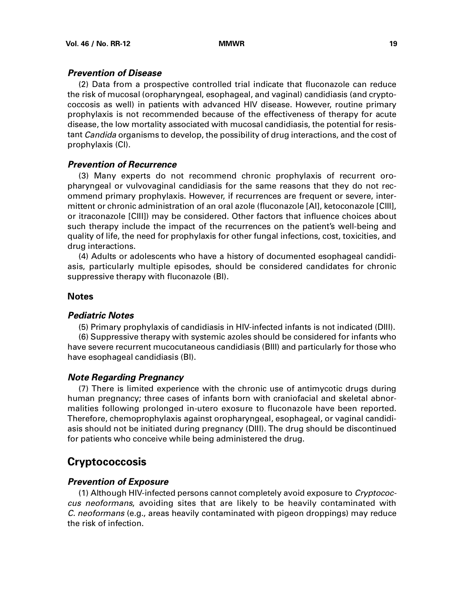### <span id="page-24-0"></span>**Prevention of Disease**

(2) Data from a prospective controlled trial indicate that fluconazole can reduce the risk of mucosal (oropharyngeal, esophageal, and vaginal) candidiasis (and cryptococcosis as well) in patients with advanced HIV disease. However, routine primary prophylaxis is not recommended because of the effectiveness of therapy for acute disease, the low mortality associated with mucosal candidiasis, the potential for resistant *Candida* organisms to develop, the possibility of drug interactions, and the cost of prophylaxis (CI).

#### **Prevention of Recurrence**

(3) Many experts do not recommend chronic prophylaxis of recurrent oropharyngeal or vulvovaginal candidiasis for the same reasons that they do not recommend primary prophylaxis. However, if recurrences are frequent or severe, intermittent or chronic administration of an oral azole (fluconazole [AI], ketoconazole [CIII], or itraconazole [CIII]) may be considered. Other factors that influence choices about such therapy include the impact of the recurrences on the patient's well-being and quality of life, the need for prophylaxis for other fungal infections, cost, toxicities, and drug interactions.

(4) Adults or adolescents who have a history of documented esophageal candidiasis, particularly multiple episodes, should be considered candidates for chronic suppressive therapy with fluconazole (BI).

#### **Notes**

### **Pediatric Notes**

(5) Primary prophylaxis of candidiasis in HIV-infected infants is not indicated (DIII).

(6) Suppressive therapy with systemic azoles should be considered for infants who have severe recurrent mucocutaneous candidiasis (BIII) and particularly for those who have esophageal candidiasis (BI).

#### **Note Regarding Pregnancy**

(7) There is limited experience with the chronic use of antimycotic drugs during human pregnancy; three cases of infants born with craniofacial and skeletal abnormalities following prolonged in-utero exosure to fluconazole have been reported. Therefore, chemoprophylaxis against oropharyngeal, esophageal, or vaginal candidiasis should not be initiated during pregnancy (DIII). The drug should be discontinued for patients who conceive while being administered the drug.

# **Cryptococcosis**

### **Prevention of Exposure**

(1) Although HIV-infected persons cannot completely avoid exposure to Cryptococcus neoformans, avoiding sites that are likely to be heavily contaminated with C. neoformans (e.g., areas heavily contaminated with pigeon droppings) may reduce the risk of infection.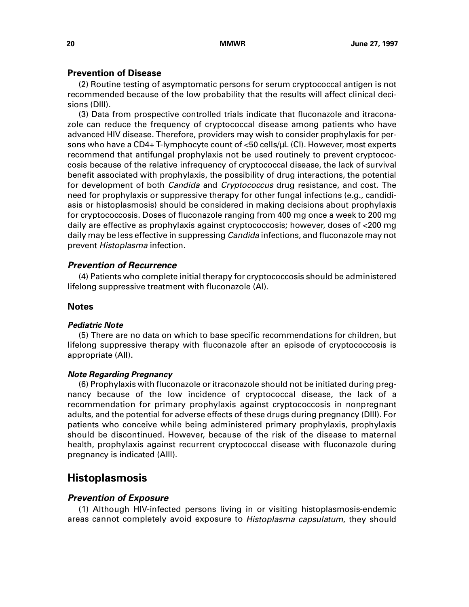<span id="page-25-0"></span>

### **Prevention of Disease**

(2) Routine testing of asymptomatic persons for serum cryptococcal antigen is not recommended because of the low probability that the results will affect clinical decisions (DIII).

(3) Data from prospective controlled trials indicate that fluconazole and itraconazole can reduce the frequency of cryptococcal disease among patients who have advanced HIV disease. Therefore, providers may wish to consider prophylaxis for persons who have a CD4+ T-lymphocyte count of <50 cells/µL (CI). However, most experts recommend that antifungal prophylaxis not be used routinely to prevent cryptococcosis because of the relative infrequency of cryptococcal disease, the lack of survival benefit associated with prophylaxis, the possibility of drug interactions, the potential for development of both Candida and Cryptococcus drug resistance, and cost. The need for prophylaxis or suppressive therapy for other fungal infections (e.g., candidiasis or histoplasmosis) should be considered in making decisions about prophylaxis for cryptococcosis. Doses of fluconazole ranging from 400 mg once a week to 200 mg daily are effective as prophylaxis against cryptococcosis; however, doses of <200 mg daily may be less effective in suppressing *Candida* infections, and fluconazole may not prevent Histoplasma infection.

#### **Prevention of Recurrence**

(4) Patients who complete initial therapy for cryptococcosis should be administered lifelong suppressive treatment with fluconazole (AI).

#### **Notes**

#### **Pediatric Note**

(5) There are no data on which to base specific recommendations for children, but lifelong suppressive therapy with fluconazole after an episode of cryptococcosis is appropriate (AII).

#### **Note Regarding Pregnancy**

(6) Prophylaxis with fluconazole or itraconazole should not be initiated during pregnancy because of the low incidence of cryptococcal disease, the lack of a recommendation for primary prophylaxis against cryptococcosis in nonpregnant adults, and the potential for adverse effects of these drugs during pregnancy (DIII). For patients who conceive while being administered primary prophylaxis, prophylaxis should be discontinued. However, because of the risk of the disease to maternal health, prophylaxis against recurrent cryptococcal disease with fluconazole during pregnancy is indicated (AIII).

# **Histoplasmosis**

### **Prevention of Exposure**

(1) Although HIV-infected persons living in or visiting histoplasmosis-endemic areas cannot completely avoid exposure to Histoplasma capsulatum, they should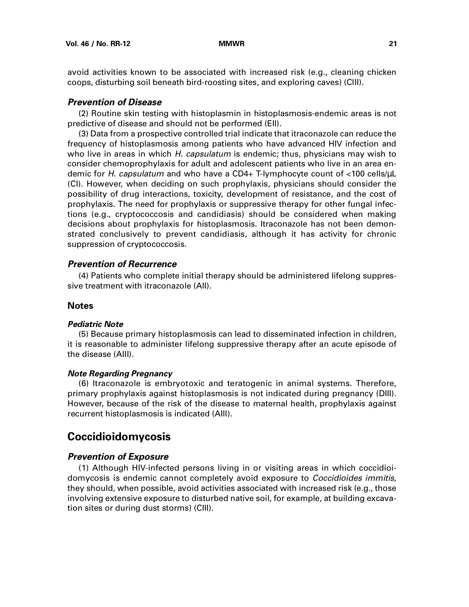<span id="page-26-0"></span>avoid activities known to be associated with increased risk (e.g., cleaning chicken coops, disturbing soil beneath bird-roosting sites, and exploring caves) (CIII).

#### **Prevention of Disease**

(2) Routine skin testing with histoplasmin in histoplasmosis-endemic areas is not predictive of disease and should not be performed (EII).

(3) Data from a prospective controlled trial indicate that itraconazole can reduce the frequency of histoplasmosis among patients who have advanced HIV infection and who live in areas in which H. capsulatum is endemic; thus, physicians may wish to consider chemoprophylaxis for adult and adolescent patients who live in an area endemic for H. capsulatum and who have a CD4+ T-lymphocyte count of <100 cells/ $\mu$ L (CI). However, when deciding on such prophylaxis, physicians should consider the possibility of drug interactions, toxicity, development of resistance, and the cost of prophylaxis. The need for prophylaxis or suppressive therapy for other fungal infections (e.g., cryptococcosis and candidiasis) should be considered when making decisions about prophylaxis for histoplasmosis. Itraconazole has not been demonstrated conclusively to prevent candidiasis, although it has activity for chronic suppression of cryptococcosis.

#### **Prevention of Recurrence**

(4) Patients who complete initial therapy should be administered lifelong suppressive treatment with itraconazole (AII).

#### **Notes**

#### **Pediatric Note**

(5) Because primary histoplasmosis can lead to disseminated infection in children, it is reasonable to administer lifelong suppressive therapy after an acute episode of the disease (AIII).

#### **Note Regarding Pregnancy**

(6) Itraconazole is embryotoxic and teratogenic in animal systems. Therefore, primary prophylaxis against histoplasmosis is not indicated during pregnancy (DIII). However, because of the risk of the disease to maternal health, prophylaxis against recurrent histoplasmosis is indicated (AIII).

# **Coccidioidomycosis**

#### **Prevention of Exposure**

(1) Although HIV-infected persons living in or visiting areas in which coccidioidomycosis is endemic cannot completely avoid exposure to Coccidioides immitis, they should, when possible, avoid activities associated with increased risk (e.g., those involving extensive exposure to disturbed native soil, for example, at building excavation sites or during dust storms) (CIII).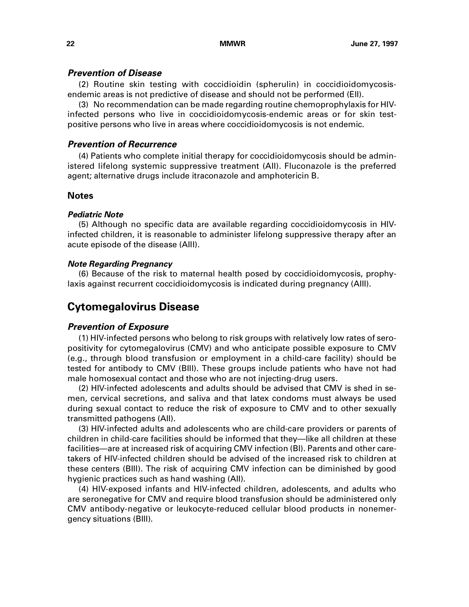### <span id="page-27-0"></span>**Prevention of Disease**

(2) Routine skin testing with coccidioidin (spherulin) in coccidioidomycosisendemic areas is not predictive of disease and should not be performed (EII).

(3) No recommendation can be made regarding routine chemoprophylaxis for HIVinfected persons who live in coccidioidomycosis-endemic areas or for skin testpositive persons who live in areas where coccidioidomycosis is not endemic.

#### **Prevention of Recurrence**

(4) Patients who complete initial therapy for coccidioidomycosis should be administered lifelong systemic suppressive treatment (AII). Fluconazole is the preferred agent; alternative drugs include itraconazole and amphotericin B.

#### **Notes**

#### **Pediatric Note**

(5) Although no specific data are available regarding coccidioidomycosis in HIVinfected children, it is reasonable to administer lifelong suppressive therapy after an acute episode of the disease (AIII).

### **Note Regarding Pregnancy**

(6) Because of the risk to maternal health posed by coccidioidomycosis, prophylaxis against recurrent coccidioidomycosis is indicated during pregnancy (AIII).

# **Cytomegalovirus Disease**

#### **Prevention of Exposure**

(1) HIV-infected persons who belong to risk groups with relatively low rates of seropositivity for cytomegalovirus (CMV) and who anticipate possible exposure to CMV (e.g., through blood transfusion or employment in a child-care facility) should be tested for antibody to CMV (BIII). These groups include patients who have not had male homosexual contact and those who are not injecting-drug users.

(2) HIV-infected adolescents and adults should be advised that CMV is shed in semen, cervical secretions, and saliva and that latex condoms must always be used during sexual contact to reduce the risk of exposure to CMV and to other sexually transmitted pathogens (AII).

(3) HIV-infected adults and adolescents who are child-care providers or parents of children in child-care facilities should be informed that they—like all children at these facilities—are at increased risk of acquiring CMV infection (BI). Parents and other caretakers of HIV-infected children should be advised of the increased risk to children at these centers (BIII). The risk of acquiring CMV infection can be diminished by good hygienic practices such as hand washing (AII).

(4) HIV-exposed infants and HIV-infected children, adolescents, and adults who are seronegative for CMV and require blood transfusion should be administered only CMV antibody-negative or leukocyte-reduced cellular blood products in nonemergency situations (BIII).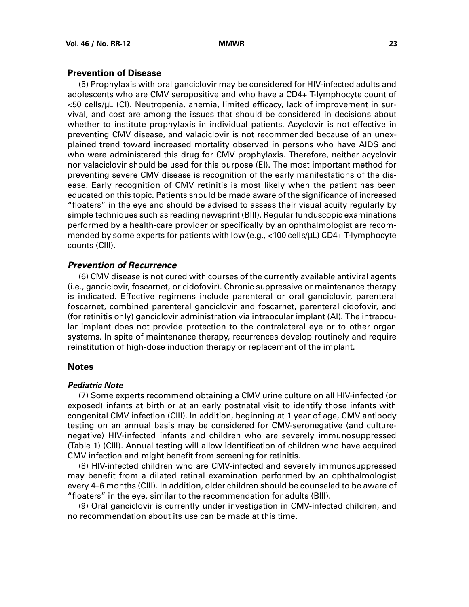#### **Prevention of Disease**

(5) Prophylaxis with oral ganciclovir may be considered for HIV-infected adults and adolescents who are CMV seropositive and who have a CD4+ T-lymphocyte count of <50 cells/µL (CI). Neutropenia, anemia, limited efficacy, lack of improvement in survival, and cost are among the issues that should be considered in decisions about whether to institute prophylaxis in individual patients. Acyclovir is not effective in preventing CMV disease, and valaciclovir is not recommended because of an unexplained trend toward increased mortality observed in persons who have AIDS and who were administered this drug for CMV prophylaxis. Therefore, neither acyclovir nor valaciclovir should be used for this purpose (EI). The most important method for preventing severe CMV disease is recognition of the early manifestations of the disease. Early recognition of CMV retinitis is most likely when the patient has been educated on this topic. Patients should be made aware of the significance of increased "floaters" in the eye and should be advised to assess their visual acuity regularly by simple techniques such as reading newsprint (BIII). Regular funduscopic examinations performed by a health-care provider or specifically by an ophthalmologist are recommended by some experts for patients with low (e.g., <100 cells/µL) CD4+ T-lymphocyte counts (CIII).

## **Prevention of Recurrence**

(6) CMV disease is not cured with courses of the currently available antiviral agents (i.e., ganciclovir, foscarnet, or cidofovir). Chronic suppressive or maintenance therapy is indicated. Effective regimens include parenteral or oral ganciclovir, parenteral foscarnet, combined parenteral ganciclovir and foscarnet, parenteral cidofovir, and (for retinitis only) ganciclovir administration via intraocular implant (AI). The intraocular implant does not provide protection to the contralateral eye or to other organ systems. In spite of maintenance therapy, recurrences develop routinely and require reinstitution of high-dose induction therapy or replacement of the implant.

#### **Notes**

#### **Pediatric Note**

(7) Some experts recommend obtaining a CMV urine culture on all HIV-infected (or exposed) infants at birth or at an early postnatal visit to identify those infants with congenital CMV infection (CIII). In addition, beginning at 1 year of age, CMV antibody testing on an annual basis may be considered for CMV-seronegative (and culturenegative) HIV-infected infants and children who are severely immunosuppressed (Table 1) (CIII). Annual testing will allow identification of children who have acquired CMV infection and might benefit from screening for retinitis.

(8) HIV-infected children who are CMV-infected and severely immunosuppressed may benefit from a dilated retinal examination performed by an ophthalmologist every 4–6 months (CIII). In addition, older children should be counseled to be aware of "floaters" in the eye, similar to the recommendation for adults (BIII).

(9) Oral ganciclovir is currently under investigation in CMV-infected children, and no recommendation about its use can be made at this time.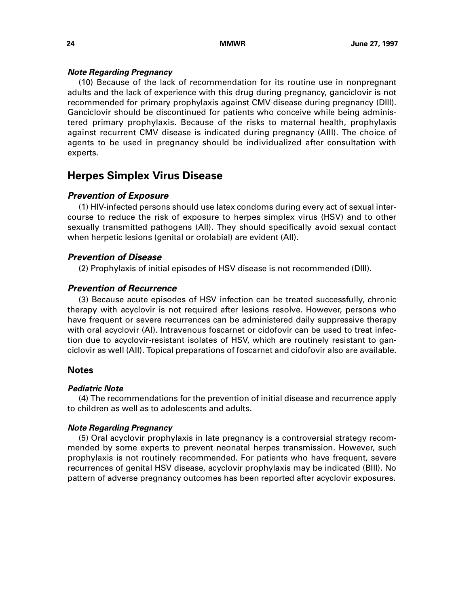#### <span id="page-29-0"></span>**Note Regarding Pregnancy**

(10) Because of the lack of recommendation for its routine use in nonpregnant adults and the lack of experience with this drug during pregnancy, ganciclovir is not recommended for primary prophylaxis against CMV disease during pregnancy (DIII). Ganciclovir should be discontinued for patients who conceive while being administered primary prophylaxis. Because of the risks to maternal health, prophylaxis against recurrent CMV disease is indicated during pregnancy (AIII). The choice of agents to be used in pregnancy should be individualized after consultation with experts.

# **Herpes Simplex Virus Disease**

#### **Prevention of Exposure**

(1) HIV-infected persons should use latex condoms during every act of sexual intercourse to reduce the risk of exposure to herpes simplex virus (HSV) and to other sexually transmitted pathogens (AII). They should specifically avoid sexual contact when herpetic lesions (genital or orolabial) are evident (AII).

### **Prevention of Disease**

(2) Prophylaxis of initial episodes of HSV disease is not recommended (DIII).

#### **Prevention of Recurrence**

(3) Because acute episodes of HSV infection can be treated successfully, chronic therapy with acyclovir is not required after lesions resolve. However, persons who have frequent or severe recurrences can be administered daily suppressive therapy with oral acyclovir (AI). Intravenous foscarnet or cidofovir can be used to treat infection due to acyclovir-resistant isolates of HSV, which are routinely resistant to ganciclovir as well (AII). Topical preparations of foscarnet and cidofovir also are available.

#### **Notes**

#### **Pediatric Note**

(4) The recommendations for the prevention of initial disease and recurrence apply to children as well as to adolescents and adults.

#### **Note Regarding Pregnancy**

(5) Oral acyclovir prophylaxis in late pregnancy is a controversial strategy recommended by some experts to prevent neonatal herpes transmission. However, such prophylaxis is not routinely recommended. For patients who have frequent, severe recurrences of genital HSV disease, acyclovir prophylaxis may be indicated (BIII). No pattern of adverse pregnancy outcomes has been reported after acyclovir exposures.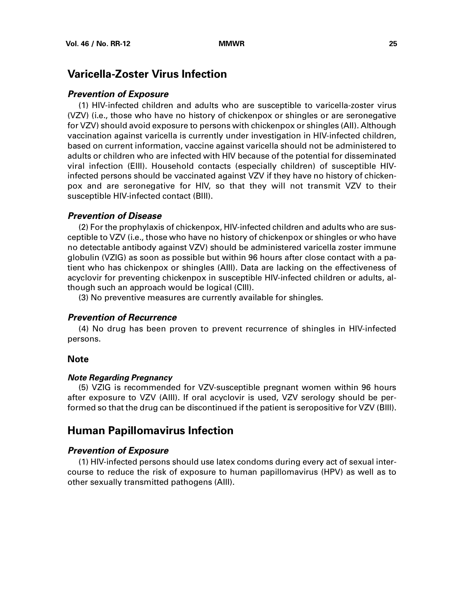# <span id="page-30-1"></span><span id="page-30-0"></span>**Varicella-Zoster Virus Infection**

### **Prevention of Exposure**

(1) HIV-infected children and adults who are susceptible to varicella-zoster virus (VZV) (i.e., those who have no history of chickenpox or shingles or are seronegative for VZV) should avoid exposure to persons with chickenpox or shingles (AII). Although vaccination against varicella is currently under investigation in HIV-infected children, based on current information, vaccine against varicella should not be administered to adults or children who are infected with HIV because of the potential for disseminated viral infection (EIII). Household contacts (especially children) of susceptible HIVinfected persons should be vaccinated against VZV if they have no history of chickenpox and are seronegative for HIV, so that they will not transmit VZV to their susceptible HIV-infected contact (BIII).

#### **Prevention of Disease**

(2) For the prophylaxis of chickenpox, HIV-infected children and adults who are susceptible to VZV (i.e., those who have no history of chickenpox or shingles or who have no detectable antibody against VZV) should be administered varicella zoster immune globulin (VZIG) as soon as possible but within 96 hours after close contact with a patient who has chickenpox or shingles (AIII). Data are lacking on the effectiveness of acyclovir for preventing chickenpox in susceptible HIV-infected children or adults, although such an approach would be logical (CIII).

(3) No preventive measures are currently available for shingles.

#### **Prevention of Recurrence**

(4) No drug has been proven to prevent recurrence of shingles in HIV-infected persons.

#### **Note**

#### **Note Regarding Pregnancy**

(5) VZIG is recommended for VZV-susceptible pregnant women within 96 hours after exposure to VZV (AIII). If oral acyclovir is used, VZV serology should be performed so that the drug can be discontinued if the patient is seropositive for VZV (BIII).

# **Human Papillomavirus Infection**

### **Prevention of Exposure**

(1) HIV-infected persons should use latex condoms during every act of sexual intercourse to reduce the risk of exposure to human papillomavirus (HPV) as well as to other sexually transmitted pathogens (AIII).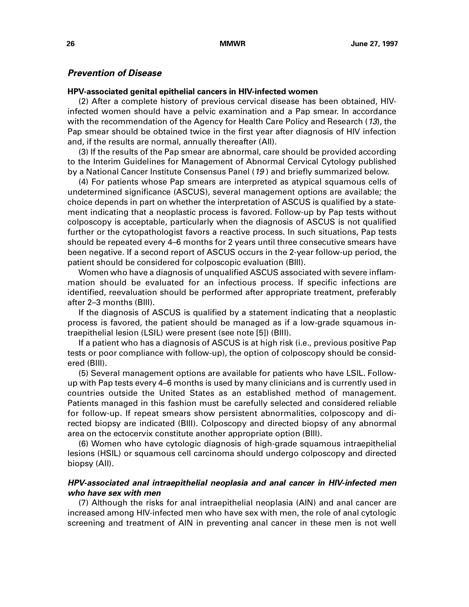### **Prevention of Disease**

#### **HPV-associated genital epithelial cancers in HIV-infected women**

(2) After a complete history of previous cervical disease has been obtained, HIVinfected women should have a pelvic examination and a Pap smear. In accordance with the recommendation of the Agency for Health Care Policy and Research (13), the Pap smear should be obtained twice in the first year after diagnosis of HIV infection and, if the results are normal, annually thereafter (AII).

(3) If the results of the Pap smear are abnormal, care should be provided according to the Interim Guidelines for Management of Abnormal Cervical Cytology published by a National Cancer Institute Consensus Panel (19 ) and briefly summarized below.

(4) For patients whose Pap smears are interpreted as atypical squamous cells of undetermined significance (ASCUS), several management options are available; the choice depends in part on whether the interpretation of ASCUS is qualified by a statement indicating that a neoplastic process is favored. Follow-up by Pap tests without colposcopy is acceptable, particularly when the diagnosis of ASCUS is not qualified further or the cytopathologist favors a reactive process. In such situations, Pap tests should be repeated every 4–6 months for 2 years until three consecutive smears have been negative. If a second report of ASCUS occurs in the 2-year follow-up period, the patient should be considered for colposcopic evaluation (BIII).

Women who have a diagnosis of unqualified ASCUS associated with severe inflammation should be evaluated for an infectious process. If specific infections are identified, reevaluation should be performed after appropriate treatment, preferably after 2–3 months (BIII).

If the diagnosis of ASCUS is qualified by a statement indicating that a neoplastic process is favored, the patient should be managed as if a low-grade squamous intraepithelial lesion (LSIL) were present (see note [5]) (BIII).

If a patient who has a diagnosis of ASCUS is at high risk (i.e., previous positive Pap tests or poor compliance with follow-up), the option of colposcopy should be considered (BIII).

(5) Several management options are available for patients who have LSIL. Followup with Pap tests every 4–6 months is used by many clinicians and is currently used in countries outside the United States as an established method of management. Patients managed in this fashion must be carefully selected and considered reliable for follow-up. If repeat smears show persistent abnormalities, colposcopy and directed biopsy are indicated (BIII). Colposcopy and directed biopsy of any abnormal area on the ectocervix constitute another appropriate option (BIII).

(6) Women who have cytologic diagnosis of high-grade squamous intraepithelial lesions (HSIL) or squamous cell carcinoma should undergo colposcopy and directed biopsy (AII).

### **HPV-associated anal intraepithelial neoplasia and anal cancer in HIV-infected men who have sex with men**

(7) Although the risks for anal intraepithelial neoplasia (AIN) and anal cancer are increased among HIV-infected men who have sex with men, the role of anal cytologic screening and treatment of AIN in preventing anal cancer in these men is not well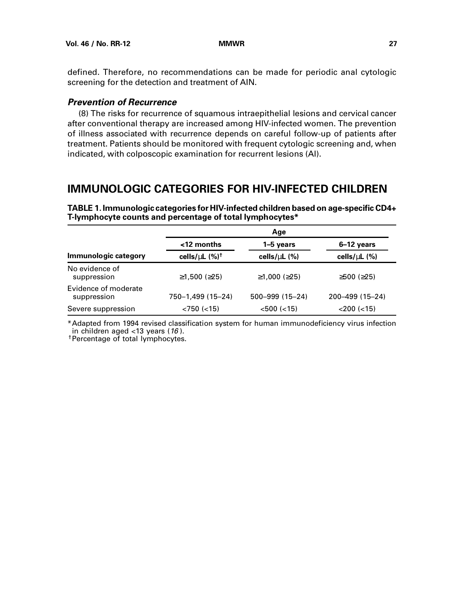<span id="page-32-0"></span>

defined. Therefore, no recommendations can be made for periodic anal cytologic screening for the detection and treatment of AIN.

### **Prevention of Recurrence**

(8) The risks for recurrence of squamous intraepithelial lesions and cervical cancer after conventional therapy are increased among HIV-infected women. The prevention of illness associated with recurrence depends on careful follow-up of patients after treatment. Patients should be monitored with frequent cytologic screening and, when indicated, with colposcopic examination for recurrent lesions (AI).

# **IMMUNOLOGIC CATEGORIES FOR HIV-INFECTED CHILDREN**

**T-lymphocyte counts and percentage of total lymphocytes\* Age**

**TABLE 1. Immunologic categories for HIV-infected children based on age-specific CD4+**

|                                     | Age                             |                     |                    |  |
|-------------------------------------|---------------------------------|---------------------|--------------------|--|
|                                     | <12 months                      | 1-5 years           | 6–12 years         |  |
| Immunologic category                | cells/ $\mu$ L (%) <sup>†</sup> | cells/ $\mu$ L (%)  | cells/ $\mu$ L (%) |  |
| No evidence of<br>suppression       | $≥1,500$ ( $≥25$ )              | $≥1,000$ ( $≥25$ )  | ≥500 (>25)         |  |
| Evidence of moderate<br>suppression | 750-1,499 (15-24)               | $500 - 999$ (15-24) | 200-499 (15-24)    |  |
| Severe suppression                  | $< 750$ ( $< 15$ )              | $< 500 (-15)$       | $<$ 200 $(<$ 15)   |  |

\*Adapted from 1994 revised classification system for human immunodeficiency virus infection in children aged  $<$ 13 years (16).

†Percentage of total lymphocytes.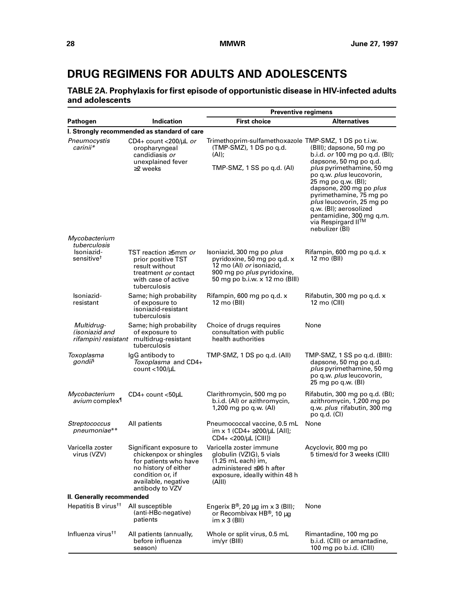# <span id="page-33-0"></span>**DRUG REGIMENS FOR ADULTS AND ADOLESCENTS**

# **TABLE 2A. Prophylaxis for first episode of opportunistic disease in HIV-infected adults** and adolescents

|                                        |                                                                                                                                                                  | <b>Preventive regimens</b>                                                                                                                                  |                                                                                                                                                                                                                                                                                                                                                                 |
|----------------------------------------|------------------------------------------------------------------------------------------------------------------------------------------------------------------|-------------------------------------------------------------------------------------------------------------------------------------------------------------|-----------------------------------------------------------------------------------------------------------------------------------------------------------------------------------------------------------------------------------------------------------------------------------------------------------------------------------------------------------------|
| <b>Pathogen</b>                        | Indication                                                                                                                                                       | <b>First choice</b>                                                                                                                                         | <b>Alternatives</b>                                                                                                                                                                                                                                                                                                                                             |
|                                        | I. Strongly recommended as standard of care                                                                                                                      |                                                                                                                                                             |                                                                                                                                                                                                                                                                                                                                                                 |
| Pneumocystis<br>carinii*               | $CD4+$ count $<$ 200/ $\mu$ L <i>or</i><br>oropharyngeal<br>candidiasis or<br>unexplained fever<br>$\geq$ 2 weeks                                                | Trimethoprim-sulfamethoxazole TMP-SMZ, 1 DS po t.i.w.<br>(TMP-SMZ), 1 DS po q.d.<br>(AI);<br>TMP-SMZ, 1 SS po q.d. (Al)                                     | (BIII); dapsone, 50 mg po<br>b.i.d. $or$ 100 mg po q.d. (BI);<br>dapsone, 50 mg po q.d.<br>plus pyrimethamine, 50 mg<br>po q.w. <i>plus</i> leucovorin,<br>25 mg po q.w. (BI);<br>dapsone, 200 mg po plus<br>pyrimethamine, 75 mg po<br>plus leucovorin, 25 mg po<br>q.w. (BI); aerosolized<br>pentamidine, 300 mg q.m.<br>via Respirgard II™<br>nebulizer (BI) |
| Mycobacterium<br>tuberculosis          |                                                                                                                                                                  |                                                                                                                                                             |                                                                                                                                                                                                                                                                                                                                                                 |
| Isoniazid-<br>sensitive <sup>†</sup>   | TST reaction ≥5mm or<br>prior positive TST<br>result without<br>treatment or contact<br>with case of active<br>tuberculosis                                      | Isoniazid, 300 mg po <i>plus</i><br>pyridoxine, 50 mg po q.d. x<br>12 mo (Al) or isoniazid,<br>900 mg po plus pyridoxine,<br>50 mg po b.i.w. x 12 mo (BIII) | Rifampin, 600 mg po q.d. x<br>12 mo (BII)                                                                                                                                                                                                                                                                                                                       |
| Isoniazid-<br>resistant                | Same; high probability<br>of exposure to<br>isoniazid-resistant<br>tuberculosis                                                                                  | Rifampin, 600 mg po q.d. x<br>12 mo (BII)                                                                                                                   | Rifabutin, 300 mg po g.d. x<br>12 mo (CIII)                                                                                                                                                                                                                                                                                                                     |
| Multidrug-<br>(isoniazid and           | Same; high probability<br>of exposure to<br>rifampin) resistant multidrug-resistant<br>tuberculosis                                                              | Choice of drugs requires<br>consultation with public<br>health authorities                                                                                  | None                                                                                                                                                                                                                                                                                                                                                            |
| Toxoplasma<br>gondii <sup>s</sup>      | lgG antibody to<br>Toxoplasma and CD4+<br>count $<$ 100/ $\mu$ L                                                                                                 | TMP-SMZ, 1 DS po q.d. (All)                                                                                                                                 | TMP-SMZ, 1 SS po q.d. (BIII):<br>dapsone, 50 mg po q.d.<br>plus pyrimethamine, 50 mg<br>po q.w. plus leucovorin,<br>25 mg po q.w. (BI)                                                                                                                                                                                                                          |
| Mycobacterium<br><i>avium</i> complex¶ | CD4+ count <50µL                                                                                                                                                 | Clarithromycin, 500 mg po<br>b.i.d. (Al) or azithromycin,<br>1,200 mg po g.w. (Al)                                                                          | Rifabutin, 300 mg po q.d. (BI);<br>azithromycin, 1,200 mg po<br>g.w. plus rifabutin, 300 mg<br>$po$ q.d. $(Cl)$                                                                                                                                                                                                                                                 |
| Streptococcus<br>pneumoniae**          | All patients                                                                                                                                                     | Pneumococcal vaccine, 0.5 mL<br>im x 1 (CD4+ $\geq$ 200/µL [All];<br>CD4+ <200/µL [CIII])                                                                   | None                                                                                                                                                                                                                                                                                                                                                            |
| Varicella zoster<br>virus (VZV)        | Significant exposure to<br>chickenpox or shingles<br>for patients who have<br>no history of either<br>condition or, if<br>available, negative<br>antibody to VZV | Varicella zoster immune<br>globulin (VZIG), 5 vials<br>(1.25 mL each) im,<br>administered ≤96 h after<br>exposure, ideally within 48 h<br>(AIII)            | Acyclovir, 800 mg po<br>5 times/d for 3 weeks (CIII)                                                                                                                                                                                                                                                                                                            |
| II. Generally recommended              |                                                                                                                                                                  |                                                                                                                                                             |                                                                                                                                                                                                                                                                                                                                                                 |
| Hepatitis B virus <sup>tt</sup>        | All susceptible<br>(anti-HBc-negative)<br>patients                                                                                                               | Engerix $B^{\circledcirc}$ , 20 µg im x 3 (BII);<br>or Recombivax HB®, 10 μg<br>$im \times 3$ (BII)                                                         | None                                                                                                                                                                                                                                                                                                                                                            |
| Influenza virus <sup>tt</sup>          | All patients (annually,<br>before influenza<br>season)                                                                                                           | Whole or split virus, 0.5 mL<br>im/vr (BIII)                                                                                                                | Rimantadine, 100 mg po<br>b.i.d. (CIII) or amantadine,<br>100 mg po b.i.d. (CIII)                                                                                                                                                                                                                                                                               |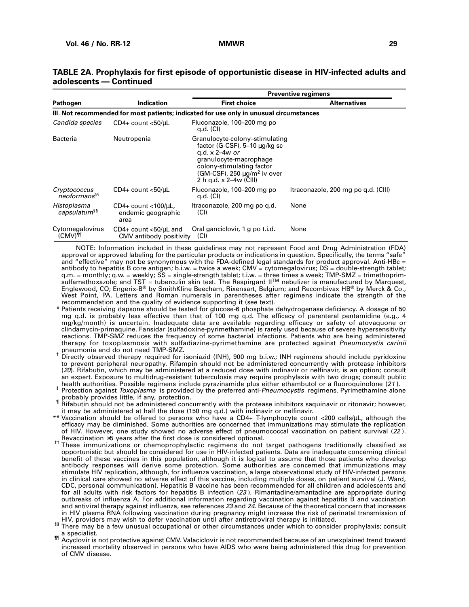| <b>Preventive regimens</b>               |                                                              |                                                                                                                                                                                                                               |                                     |
|------------------------------------------|--------------------------------------------------------------|-------------------------------------------------------------------------------------------------------------------------------------------------------------------------------------------------------------------------------|-------------------------------------|
| Pathogen                                 | <b>Indication</b>                                            | <b>First choice</b>                                                                                                                                                                                                           | <b>Alternatives</b>                 |
|                                          |                                                              | III. Not recommended for most patients; indicated for use only in unusual circumstances                                                                                                                                       |                                     |
| Candida species                          | $CD4+$ count $<$ 50/ $\mu$ L                                 | Fluconazole, 100–200 mg po<br>$q.d.$ (CI)                                                                                                                                                                                     |                                     |
| Bacteria                                 | Neutropenia                                                  | Granulocyte-colony-stimulating<br>factor $(G-CSF)$ , 5-10 $\mu q/kg$ sc<br>g.d. x 2–4w or<br>granulocyte-macrophage<br>colony-stimulating factor<br>$(GM-CSF)$ , 250 $\mu$ g/m <sup>2</sup> iv over<br>2 h g.d. x 2-4w (CIII) |                                     |
| Cryptococcus<br>neoformans <sup>§§</sup> | $CD4+$ count $<$ 50/ $\mu$ L                                 | Fluconazole, 100–200 mg po<br>$q.d.$ (CI)                                                                                                                                                                                     | Itraconazole, 200 mg po q.d. (CIII) |
| Histoplasma<br>capsulatum <sup>§§</sup>  | $CD4+$ count $<$ 100/ $\mu$ L,<br>endemic geographic<br>area | ltraconazole, 200 mg po q.d.<br>(CI)                                                                                                                                                                                          | None                                |
| Cytomegalovirus<br>(CMV)¶                | $CD4+$ count $<$ 50/ $\mu$ L and<br>CMV antibody positivity  | Oral ganciclovir, 1 g po t.i.d.<br>(CI)                                                                                                                                                                                       | None                                |

**TABLE 2A. Prophylaxis for first episode of opportunistic disease in HIV-infected adults and adolescents — Continued**

 NOTE: Information included in these guidelines may not represent Food and Drug Administration (FDA) approval or approved labeling for the particular products or indications in question. Specifically, the terms "safe" and "effective" may not be synonymous with the FDA-defined legal standards for product approval. Anti-HBc = antibody to hepatitis B core antigen; b.i.w. = twice a week; CMV = cytomegalovirus; DS = double-strength tablet;  $q.m.$  = monthly;  $q.w.$  = weekly;  $SS$  = single-strength tablet; t.i.w. = three times a week; TMP-SMZ = trimethoprimsulfamethoxazole; and TST = tuberculin skin test. The Respirgard II<sup>TM</sup> nebulizer is manufactured by Marquest, Englewood, CO; Engerix-B® by SmithKline Beecham, Rixensart, Belgium; and Recombivax HB® by Merck & Co., West Point, PA. Letters and Roman numerals in parentheses after regimens indicate the strength of the recommendation and the quality of evidence supporting it (see text).

- \* Patients receiving dapsone should be tested for glucose-6 phosphate dehydrogenase deficiency. A dosage of 50 mg q.d. is probably less effective than that of 100 mg q.d. The efficacy of parenteral pentamidine (e.g., 4 mg/kg/month) is uncertain. Inadequate data are available regarding efficacy or safety of atovaquone or clindamycin-primaquine. Fansidar (sulfadoxine-pyrimethamine) is rarely used because of severe hypersensitivity reactions. TMP-SMZ reduces the frequency of some bacterial infections. Patients who are being administered therapy for toxoplasmosis with sulfadiazine-pyrimethamine are protected against Pneumocystis carinii<br>pneumonia and do not need TMP-SMZ.
- pneuments and do not need therapy required for isoniazid (INH), 900 mg b.i.w.; INH regimens should include pyridoxine to prevent peripheral neuropathy. Rifampin should not be administered concurrently with protease inhibitors (20). Rifabutin, which may be administered at a reduced dose with indinavir or nelfinavir, is an option; consult an expert. Exposure to multidrug-resistant tuberculosis may require prophylaxis with two drugs; consult public<br>health authorities. Possible regimens include pyrazinamide plus either ethambutol or a fluoroquinolone (21).
- $\frac{1}{3}$  Protection against *Toxoplasma* is provided by the preferred anti-*Pneumocystis* regimens. Pyrimethamine alone  $\frac{1}{2}$ ,  $\frac{1}{2}$ ,
- probably provides little, if any, protection.<br>¶ Rifabutin should not be administered concurrently with the protease inhibitors saquinavir or ritonavir; however, it may be administered at half the dose (150 mg q.d.) with indinavir or nelfinavir.
- \*\* Vaccination should be offered to persons who have a CD4+ T-lymphocyte count <200 cells/µL, although the efficacy may be diminished. Some authorities are concerned that immunizations may stimulate the replication of HIV. However, one study showed no adverse effect of pneumococcal vaccination on patient survival (22 ).
- t Revaccination ≥5 years after the first dose is considered optional.<br><sup>††</sup> These immunizations or chemoprophylactic regimens do not target pathogens traditionally classified as opportunistic but should be considered for use in HIV-infected patients. Data are inadequate concerning clinical benefit of these vaccines in this population, although it is logical to assume that those patients who develop antibody responses will derive some protection. Some authorities are concerned that immunizations may stimulate HIV replication, although, for influenza vaccination, a large observational study of HIV-infected persons in clinical care showed no adverse effect of this vaccine, including multiple doses, on patient survival (J. Ward, CDC, personal communication). Hepatitis B vaccine has been recommended for all children and adolescents and for all adults with risk factors for hepatitis B infection (23 ). Rimantadine/amantadine are appropriate during outbreaks of influenza A. For additional information regarding vaccination against hepatitis B and vaccination and antiviral therapy against influenza, see references 23 and 24. Because of the theoretical concern that increases in HIV plasma RNA following vaccination during pregnancy might increase the risk of perinatal transmission of<br>HIV, providers may wish to defer vaccination until after antiretroviral therapy is initiated.
- ss may provide may wish to defer vaccination until after anti-<br>s§ There may be a few unusual occupational or other circumstances under which to consider prophylaxis; consult<br>a specialist.
- ¶¶ Acyclovir is not protective against CMV. Valaciclovir is not recommended because of an unexplained trend toward increased mortality observed in persons who have AIDS who were being administered this drug for prevention of CMV disease.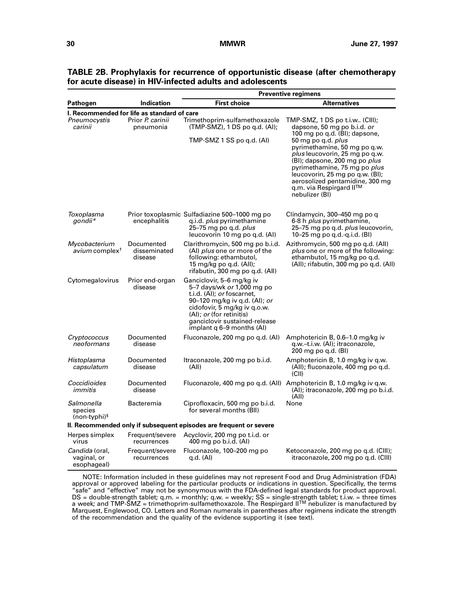|                                              |                                       | <b>Preventive regimens</b>                                                                                                                                                                                                                              |                                                                                                                                                                                                                                                                                                                                                                                                      |  |
|----------------------------------------------|---------------------------------------|---------------------------------------------------------------------------------------------------------------------------------------------------------------------------------------------------------------------------------------------------------|------------------------------------------------------------------------------------------------------------------------------------------------------------------------------------------------------------------------------------------------------------------------------------------------------------------------------------------------------------------------------------------------------|--|
| Pathogen                                     | <b>Indication</b>                     | <b>First choice</b>                                                                                                                                                                                                                                     | <b>Alternatives</b>                                                                                                                                                                                                                                                                                                                                                                                  |  |
| I. Recommended for life as standard of care  |                                       |                                                                                                                                                                                                                                                         |                                                                                                                                                                                                                                                                                                                                                                                                      |  |
| Pneumocystis<br>carinii                      | Prior P. carinii<br>pneumonia         | Trimethoprim-sulfamethoxazole<br>(TMP-SMZ), 1 DS po q.d. (Al);<br>TMP-SMZ 1 SS po q.d. (Al)                                                                                                                                                             | TMP-SMZ, 1 DS po t.i.w (CIII);<br>dapsone, 50 mg po b.i.d. or<br>100 mg po q.d. (BI); dapsone,<br>50 mg po q.d. <i>plus</i><br>pyrimethamine, 50 mg po q.w.<br>plus leucovorin, 25 mg po q.w.<br>(BI); dapsone, 200 mg po plus<br>pyrimethamine, 75 mg po <i>plus</i><br>leucovorin, 25 mg po q.w. (BI);<br>aerosolized pentamidine, 300 mg<br>q.m. via Respirgard II <sup>™</sup><br>nebulizer (BI) |  |
| Toxoplasma<br>gondii*                        | encephalitis                          | Prior toxoplasmic Sulfadiazine 500–1000 mg po<br>q.i.d. <i>plus</i> pyrimethamine<br>25–75 mg po q.d. <i>plus</i><br>leucovorin 10 mg po q.d. (Al)                                                                                                      | Clindamycin, 300–450 mg po q<br>6-8 h <i>plus</i> pyrimethamine,<br>25–75 mg po q.d. <i>plus</i> leucovorin,<br>10–25 mg po q.d.-q.i.d. (BI)                                                                                                                                                                                                                                                         |  |
| Mycobacterium<br>avium complex <sup>1</sup>  | Documented<br>disseminated<br>disease | Clarithromycin, 500 mg po b.i.d.<br>(AI) <i>plus</i> one or more of the<br>following: ethambutol,<br>15 mg/kg po q.d. (All);<br>rifabutin, 300 mg po q.d. (All)                                                                                         | Azithromycin, 500 mg po q.d. (All)<br>plus one or more of the following:<br>ethambutol, 15 mg/kg po q.d.<br>(All); rifabutin, 300 mg po q.d. (All)                                                                                                                                                                                                                                                   |  |
| Cytomegalovirus                              | Prior end-organ<br>disease            | Ganciclovir, 5–6 mg/kg iv<br>5–7 days/wk <i>or</i> 1,000 mg po<br>t.i.d. (AI); or foscarnet,<br>90-120 mg/kg iv q.d. (Al); or<br>cidofovir, 5 mg/kg iv q.o.w.<br>(AI); or (for retinitis)<br>ganciclovir sustained-release<br>implant q 6–9 months (AI) |                                                                                                                                                                                                                                                                                                                                                                                                      |  |
| Cryptococcus<br>neoformans                   | Documented<br>disease                 | Fluconazole, 200 mg po q.d. (Al)                                                                                                                                                                                                                        | Amphotericin B, 0.6-1.0 mg/kg iv<br>q.w.-t.i.w. (AI); itraconazole,<br>200 mg po q.d. (BI)                                                                                                                                                                                                                                                                                                           |  |
| Histoplasma<br>capsulatum                    | Documented<br>disease                 | Itraconazole, 200 mg po b.i.d.<br>(All)                                                                                                                                                                                                                 | Amphotericin B, 1.0 mg/kg iv g.w.<br>(All); fluconazole, 400 mg po q.d.<br>(CII)                                                                                                                                                                                                                                                                                                                     |  |
| Coccidioides<br>immitis                      | Documented<br>disease                 | Fluconazole, 400 mg po q.d. (All)                                                                                                                                                                                                                       | Amphotericin B, 1.0 mg/kg iv q.w.<br>(AI); itraconazole, 200 mg po b.i.d.<br>(All)                                                                                                                                                                                                                                                                                                                   |  |
| Salmonella<br>species<br>$(non-typhi)^3$     | Bacteremia                            | Ciprofloxacin, 500 mg po b.i.d.<br>for several months (BII)                                                                                                                                                                                             | None                                                                                                                                                                                                                                                                                                                                                                                                 |  |
|                                              |                                       | II. Recommended only if subsequent episodes are frequent or severe                                                                                                                                                                                      |                                                                                                                                                                                                                                                                                                                                                                                                      |  |
| Herpes simplex<br>virus                      | Frequent/severe<br>recurrences        | Acyclovir, 200 mg po t.i.d. or<br>400 mg po b.i.d. (Al)                                                                                                                                                                                                 |                                                                                                                                                                                                                                                                                                                                                                                                      |  |
| Candida (oral,<br>vaginal, or<br>esophageal) | Frequent/severe<br>recurrences        | Fluconazole, 100–200 mg po<br>q.d. (Al)                                                                                                                                                                                                                 | Ketoconazole, 200 mg po q.d. (CIII);<br>itraconazole, 200 mg po q.d. (CIII)                                                                                                                                                                                                                                                                                                                          |  |

**TABLE 2B. Prophylaxis for recurrence of opportunistic disease (after chemotherapy for acute disease) in HIV-infected adults and adolescents**

 NOTE: Information included in these guidelines may not represent Food and Drug Administration (FDA) approval or approved labeling for the particular products or indications in question. Specifically, the terms "safe" and "effective" may not be synonymous with the FDA-defined legal standards for product approval. DS = double-strength tablet; q.m. = monthly; q.w. = weekly; SS = single-strength tablet; t.i.w. = three times a week; and TMP-SMZ = trimethoprim-sulfamethoxazole. The Respirgard IITM nebulizer is manufactured by Marquest, Englewood, CO. Letters and Roman numerals in parentheses after regimens indicate the strength of the recommendation and the quality of the evidence supporting it (see text).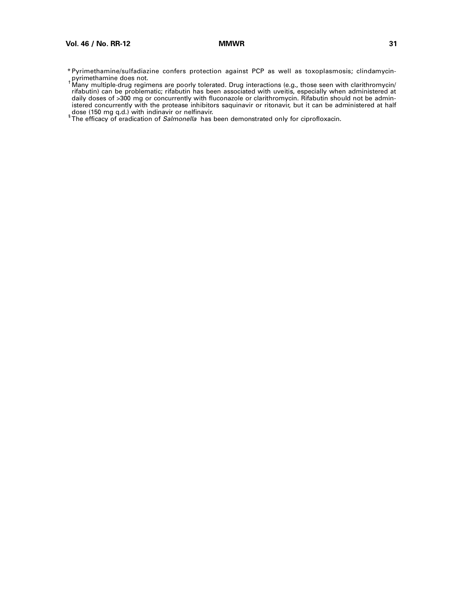\*Pyrimethamine/sulfadiazine confers protection against PCP as well as toxoplasmosis; clindamycin-

- <sub>,</sub> pyrimethamine does not.<br><sup>†</sup> Many multiple-drug regimens are poorly tolerated. Drug interactions (e.g., those seen with clarithromycin/ rifabutin) can be problematic; rifabutin has been associated with uveitis, especially when administered at daily doses of >300 mg or concurrently with fluconazole or clarithromycin. Rifabutin should not be administered concurrently with the protease inhibitors saquinavir or ritonavir, but it can be administered at half dose (150 mg q.d.) with indinavir or nelfinavir.<br>§The efficacy of eradication of *Salmonella* has been demonstrated only for ciprofloxacin.
-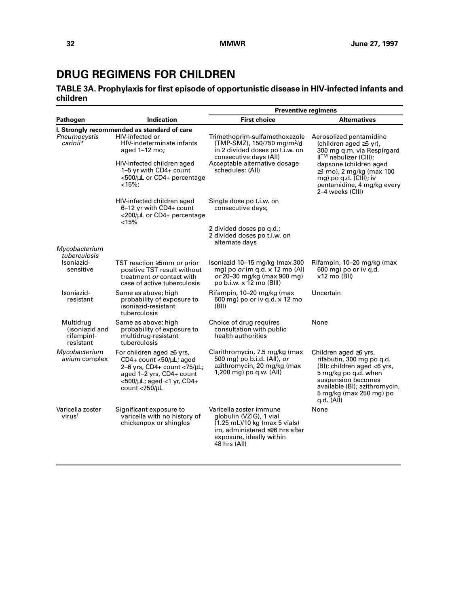# <span id="page-37-0"></span>**DRUG REGIMENS FOR CHILDREN**

# **TABLE 3A. Prophylaxis for first episode of opportunistic disease in HIV-infected infants and** children

|                                                        |                                                                                                                                                                              | <b>Preventive regimens</b>                                                                                                                                        |                                                                                                                                                                                                                 |
|--------------------------------------------------------|------------------------------------------------------------------------------------------------------------------------------------------------------------------------------|-------------------------------------------------------------------------------------------------------------------------------------------------------------------|-----------------------------------------------------------------------------------------------------------------------------------------------------------------------------------------------------------------|
| Pathogen                                               | <b>Indication</b>                                                                                                                                                            | <b>First choice</b>                                                                                                                                               | <b>Alternatives</b>                                                                                                                                                                                             |
|                                                        | I. Strongly recommended as standard of care                                                                                                                                  |                                                                                                                                                                   |                                                                                                                                                                                                                 |
| Pneumocystis<br>carinii*                               | HIV-infected or<br>HIV-indeterminate infants<br>aged 1-12 mo;                                                                                                                | Trimethoprim-sulfamethoxazole<br>(TMP-SMZ), 150/750 mg/m <sup>2</sup> /d<br>in 2 divided doses po t.i.w. on<br>consecutive days (All)                             | Aerosolized pentamidine<br>(children aged ≥5 yr),<br>300 mg q.m. via Respirgard<br>II™ nebulizer (CIII);                                                                                                        |
|                                                        | HIV-infected children aged<br>1-5 yr with CD4+ count<br><500/µL or CD4+ percentage<br>$< 15\%$                                                                               | Acceptable alternative dosage<br>schedules: (All)                                                                                                                 | dapsone (children aged<br>$\geq$ 1 mo), 2 mg/kg (max 100<br>$mq$ ) po $q.d.$ (CIII); iv<br>pentamidine, 4 mg/kg every<br>2-4 weeks (CIII)                                                                       |
|                                                        | HIV-infected children aged<br>6-12 yr with CD4+ count<br><200/µL or CD4+ percentage<br>< 15%                                                                                 | Single dose po t.i.w. on<br>consecutive days;                                                                                                                     |                                                                                                                                                                                                                 |
|                                                        |                                                                                                                                                                              | 2 divided doses po q.d.;<br>2 divided doses po t.i.w. on<br>alternate days                                                                                        |                                                                                                                                                                                                                 |
| Mycobacterium<br>tuberculosis                          |                                                                                                                                                                              |                                                                                                                                                                   |                                                                                                                                                                                                                 |
| Isoniazid-<br>sensitive                                | TST reaction ≥5mm or prior<br>positive TST result without<br>treatment or contact with<br>case of active tuberculosis                                                        | Isoniazid 10-15 mg/kg (max 300<br>mg) po <i>or</i> im q.d. x 12 mo (Al)<br>or 20-30 mg/kg (max 900 mg)<br>po b.i.w. x 12 mo (BIII)                                | Rifampin, 10-20 mg/kg (max<br>600 mg) po or iv g.d.<br>$x12$ mo (BII)                                                                                                                                           |
| Isoniazid-<br>resistant                                | Same as above; high<br>probability of exposure to<br>isoniazid-resistant<br>tuberculosis                                                                                     | Rifampin, 10-20 mg/kg (max<br>600 mg) po or iv g.d. x 12 mo<br>(BII)                                                                                              | Uncertain                                                                                                                                                                                                       |
| Multidrug<br>(isoniazid and<br>rifampin)-<br>resistant | Same as above; high<br>probability of exposure to<br>multidrug-resistant<br>tuberculosis                                                                                     | Choice of drug requires<br>consultation with public<br>health authorities                                                                                         | None                                                                                                                                                                                                            |
| Mycobacterium<br>avium complex                         | For children aged ≥6 yrs,<br>CD4+ count <50/µL; aged<br>2-6 yrs, CD4+ count <75/ $\mu$ L;<br>aged 1-2 yrs, CD4+ count<br>$<$ 500/ $\mu$ L; aged <1 yr, CD4+<br>count <750/uL | Clarithromycin, 7.5 mg/kg (max<br>500 mg) po b.i.d. (All), or<br>azithromycin, 20 mg/kg (max<br>1,200 mg) po q.w. (All)                                           | Children aged $\geq 6$ yrs,<br>rifabutin, 300 mg po q.d.<br>(BI); children aged <6 yrs,<br>5 mg/kg po q.d. when<br>suspension becomes<br>available (BI); azithromycin,<br>5 mg/kg (max 250 mg) po<br>q.d. (All) |
| Varicella zoster<br>virus <sup>t</sup>                 | Significant exposure to<br>varicella with no history of<br>chickenpox or shingles                                                                                            | Varicella zoster immune<br>globulin (VZIG), 1 vial<br>(1.25 mL)/10 kg (max 5 vials)<br>im, administered ≤96 hrs after<br>exposure, ideally within<br>48 hrs (All) | None                                                                                                                                                                                                            |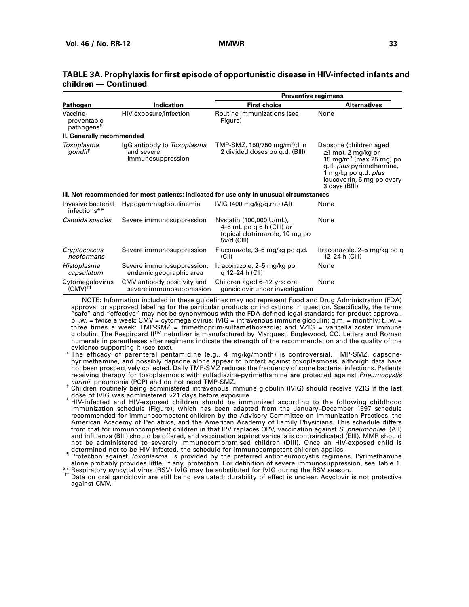|                                                   |                                                               | <b>Preventive regimens</b>                                                                               |                                                                                                                                                                                                    |
|---------------------------------------------------|---------------------------------------------------------------|----------------------------------------------------------------------------------------------------------|----------------------------------------------------------------------------------------------------------------------------------------------------------------------------------------------------|
| Pathogen                                          | <b>Indication</b>                                             | <b>First choice</b>                                                                                      | <b>Alternatives</b>                                                                                                                                                                                |
| Vaccine-<br>preventable<br>pathogens <sup>§</sup> | HIV exposure/infection                                        | Routine immunizations (see<br>Figure)                                                                    | None                                                                                                                                                                                               |
| II. Generally recommended                         |                                                               |                                                                                                          |                                                                                                                                                                                                    |
| Toxoplasma<br>gondii <sup>¶</sup>                 | IgG antibody to Toxoplasma<br>and severe<br>immunosuppression | TMP-SMZ, 150/750 mg/m <sup>2</sup> /d in<br>2 divided doses po g.d. (BIII)                               | Dapsone (children aged<br>$\geq$ 1 mo), 2 mg/kg or<br>15 mg/m <sup>2</sup> (max 25 mg) po<br>q.d. <i>plus</i> pyrimethamine,<br>1 mg/kg po q.d. plus<br>leucovorin, 5 mg po every<br>3 days (BIII) |
|                                                   |                                                               | III. Not recommended for most patients; indicated for use only in unusual circumstances                  |                                                                                                                                                                                                    |
| Invasive bacterial<br>infections**                | Hypogammaglobulinemia                                         | IVIG (400 mg/kg/q.m.) (Al)                                                                               | None                                                                                                                                                                                               |
| Candida species                                   | Severe immunosuppression                                      | Nystatin (100,000 U/mL),<br>4–6 mL po q 6 h (CIII) or<br>topical clotrimazole, 10 mg po<br>$5x/d$ (CIII) | None                                                                                                                                                                                               |
| Cryptococcus<br>neoformans                        | Severe immunosuppression                                      | Fluconazole, 3–6 mg/kg po q.d.<br>(CII)                                                                  | Itraconazole, 2–5 mg/kg po q<br>12-24 h (CIII)                                                                                                                                                     |
| Histoplasma<br>capsulatum                         | Severe immunosuppression,<br>endemic geographic area          | Itraconazole, 2–5 mg/kg po<br>q 12-24 h (ClI)                                                            | None                                                                                                                                                                                               |
| Cytomegalovirus<br>$(CMV)^{\dagger \dagger}$      | CMV antibody positivity and<br>severe immunosuppression       | Children aged 6-12 yrs: oral<br>ganciclovir under investigation                                          | None                                                                                                                                                                                               |

#### **TABLE 3A. Prophylaxis for first episode of opportunistic disease in HIV-infected infants and children — Continued**

 NOTE: Information included in these guidelines may not represent Food and Drug Administration (FDA) approval or approved labeling for the particular products or indications in question. Specifically, the terms "safe" and "effective" may not be synonymous with the FDA-defined legal standards for product approval. b.i.w. = twice a week; CMV = cytomegalovirus; IVIG = intravenous immune globulin; q.m. = monthly; t.i.w. = three times a week; TMP-SMZ = trimethoprim-sulfamethoxazole; and VZIG = varicella zoster immune globulin. The Respirgard II<sup>TM</sup> nebulizer is manufactured by Marquest, Englewood, CO. Letters and Roman numerals in parentheses after regimens indicate the strength of the recommendation and the quality of the evidence supporting it (see text).

- The efficacy of parenteral pentamidine (e.g., 4 mg/kg/month) is controversial. TMP-SMZ, dapsonepyrimethamine, and possibly dapsone alone appear to protect against toxoplasmosis, although data have not been prospectively collected. Daily TMP-SMZ reduces the frequency of some bacterial infections. Patients receiving therapy for toxoplasmosis with sulfadiazine-pyrimethamine are protected against Pneumocystis
- carinii pneumonia (PCP) and do not need TMP-SMZ.<br>Children routinely being administered intravenous immune globulin (IVIG) should receive VZIG if the last<br>dose of IVIG was administered >21 days before exposure.
- s dose of IVIG was administered  $\geq$ 1 days before exposure.<br>§ HIV-infected and HIV-exposed children should be immunized according to the following childhood immunization schedule (Figure), which has been adapted from the January–December 1997 schedule recommended for immunocompetent children by the Advisory Committee on Immunization Practices, the American Academy of Pediatrics, and the American Academy of Family Physicians. This schedule differs from that for immunocompetent children in that IPV replaces OPV, vaccination against S. pneumoniae (AII) and influenza (BIII) should be offered, and vaccination against varicella is contraindicated (EIII). MMR should not be administered to severely immunocompromised children (DIII). Once an HIV-exposed child is determined not to be HIV infected, the schedule for immunocompetent children applies.
- determined not to be HIV increased in provided by the preferred antipneumocystis regimens. Pyrimethamine alone probably provides little, if any, protection. For definition of severe immunosuppression, see Table 1.<br>Respiratory syncytial virus (RSV) IVIG may be substituted for IVIG during the RSV season.
- \*\* Respiratory syncytial virus (RSV) IVIG may be substituted for IVIG during the RSV season. †† Data on oral ganciclovir are still being evaluated; durability of effect is unclear. Acyclovir is not protective against CMV.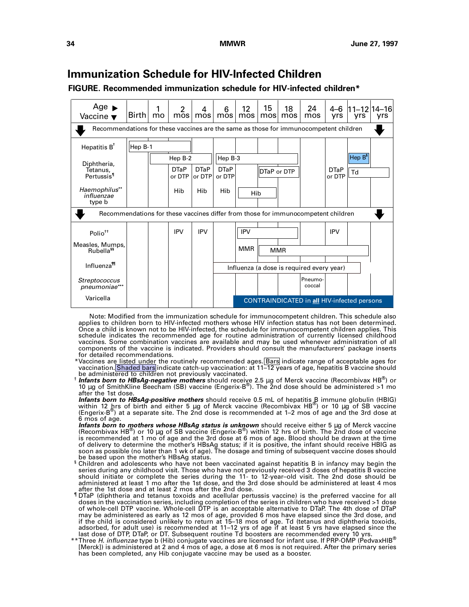# <span id="page-39-0"></span>**Immunization Schedule for HIV-Infected Children**

#### **FIGURE. Recommended immunization schedule for HIV-infected children\***



 Note: Modified from the immunization schedule for immunocompetent children. This schedule also applies to children born to HIV-infected mothers whose HIV infection status has not been determined. Once a child is known not to be HIV-infected, the schedule for immunocompetent children applies. This schedule indicates the recommended age for routine administration of currently licensed childhood vaccines. Some combination vaccines are available and may be used whenever administration of all components of the vaccine is indicated. Providers should consult the manufacturers' package inserts for detailed recommendations.

- \*Vaccines are listed under the routinely recommended ages. Bars indicate range of acceptable ages for vaccination. <mark>Shaded bars</mark> indicate catch-up vaccination: at 11–12 years of age, hepatitis B vaccine should
	- be administered to children not previously vaccinated. † **Infants born to HBsAg-negative mothers** should receive 2.5 µg of Merck vaccine (Recombivax HB®) or 10 μg of SmithKline Beecham (SB) vaccine (Engerix-B®). The 2nd dose should be administered >1 mo after the 1st dose.

**Infants born to HBsAg-positive mothers** should receive 0.5 mL of hepatitis Β immune globulin (HBIG)<br>within 12 <u>h</u>rs of birth and either 5 μg of Merck vaccine (Recombivax HB®) or 10 μg of SB vaccine (Engerix-B®) at a separate site. The 2nd dose is recommended at 1–2 mos of age and the 3rd dose at 6 mos of age.

**Infants born to mothers whose HBsAg status is unknown** should receive either 5 μg of Merck vaccine<br>(Recombivax HB<sup>®</sup>) or 10 μg of SB vaccine (Engerix-B®) within 12 hrs of birth. The 2nd dose of vaccine is recommended at 1 mo of age and the 3rd dose at 6 mos of age. Blood should be drawn at the time of delivery to determine the mother's HBsAg status; if it is positive, the infant should receive HBIG as soon as possible (no later than 1 wk of age). The dosage and timing of subsequent vaccine doses should be based upon the mother's HBsAg status.

- § Children and adolescents who have not been vaccinated against hepatitis B in infancy may begin the series during any childhood visit. Those who have not previously received 3 doses of hepatitis B vaccine should initiate or complete the series during the 11- to 12-year–old visit. The 2nd dose should be administered at least 1 mo after the 1st dose, and the 3rd dose should be administered at least 4 mos after the 1st dose and at least 2 mos after the 2nd dose.
- ¶ DTaP (diphtheria and tetanus toxoids and acellular pertussis vaccine) is the preferred vaccine for all doses in the vaccination series, including completion of the series in children who have received >1 dose of whole-cell DTP vaccine. Whole-cell DTP is an acceptable alternative to DTaP. The 4th dose of DTaP may be administered as early as 12 mos of age, provided 6 mos have elapsed since the 3rd dose, and if the child is considered unlikely to return at 15–18 mos of age. Td (tetanus and diphtheria toxoids, adsorbed, for adult use) is recommended at 11–12 yrs of age if at least 5 yrs have elapsed since the last dose of DTP, DTaP, or DT. Subsequent routine Td boosters are recommended every 10 yrs.
- \*\*Three H. influenzae type b (Hib) conjugate vaccines are licensed for infant use. If PRP-OMP (PedvaxHIB® [Merck]) is administered at 2 and 4 mos of age, a dose at 6 mos is not required. After the primary series has been completed, any Hib conjugate vaccine may be used as a booster.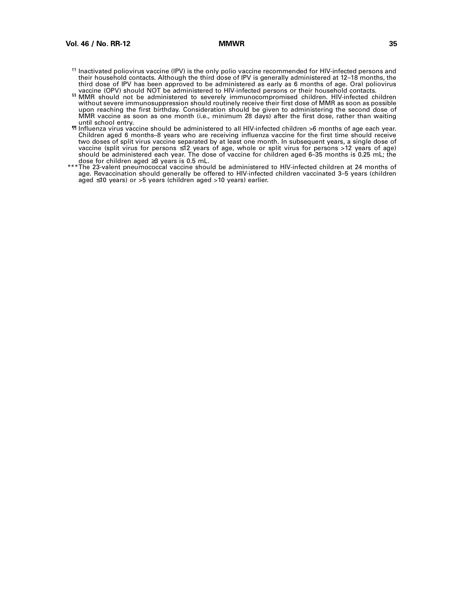- $^{\texttt{tt}}$  Inactivated poliovirus vaccine (IPV) is the only polio vaccine recommended for HIV-infected persons and their household contacts. Although the third dose of IPV is generally administered at 12–18 months, the third dose of IPV has been approved to be administered as early as 6 months of age. Oral poliovirus vaccine (OPV) should NOT be administered to HIV-infected persons or their household contacts.
- <sup>§§</sup> MMR should not be administered to severely immunocompromised children. HIV-infected children without severe immunosuppression should routinely receive their first dose of MMR as soon as possible upon reaching the first birthday. Consideration should be given to administering the second dose of MMR vaccine as soon as one month (i.e., minimum 28 days) after the first dose, rather than waiting until school entry.
- <sup>11</sup> Influenza virus vaccine should be administered to all HIV-infected children >6 months of age each year. Children aged 6 months–8 years who are receiving influenza vaccine for the first time should receive two doses of split virus vaccine separated by at least one month. In subsequent years, a single dose of vaccine (split virus for persons ≤12 years of age, whole or split virus for persons >12 years of age) should be administered each year. The dose of vaccine for children aged 6–35 months is 0.25 mL; the dose for children aged ≥3 years is 0.5 mL.
- \*\*\*The 23-valent pneumococcal vaccine should be administered to HIV-infected children at 24 months of age. Revaccination should generally be offered to HIV-infected children vaccinated 3–5 years (children aged ≤10 years) or >5 years (children aged >10 years) earlier.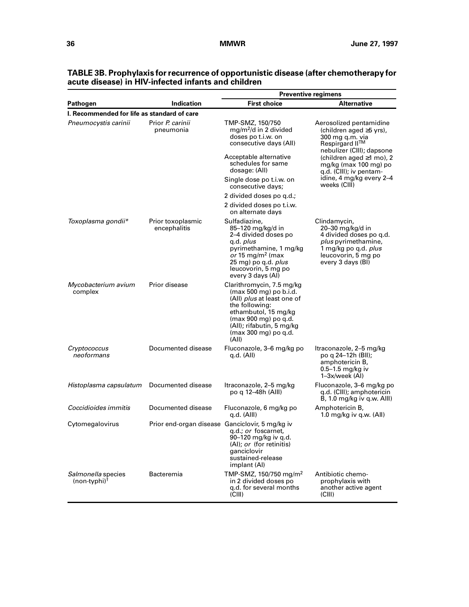|                                               |                                                 | <b>Preventive regimens</b>                                                                                                                                                                                                    |                                                                                                                                                        |  |  |  |
|-----------------------------------------------|-------------------------------------------------|-------------------------------------------------------------------------------------------------------------------------------------------------------------------------------------------------------------------------------|--------------------------------------------------------------------------------------------------------------------------------------------------------|--|--|--|
| <b>Pathogen</b>                               | <b>Indication</b>                               | <b>First choice</b>                                                                                                                                                                                                           | <b>Alternative</b>                                                                                                                                     |  |  |  |
| I. Recommended for life as standard of care   |                                                 |                                                                                                                                                                                                                               |                                                                                                                                                        |  |  |  |
| Pneumocystis carinii                          | Prior P. carinii<br>pneumonia                   | TMP-SMZ, 150/750<br>mg/m <sup>2</sup> /d in 2 divided<br>doses po t.i.w. on<br>consecutive days (All)                                                                                                                         | Aerosolized pentamidine<br>(children aged $\geq$ 5 yrs),<br>300 mg q.m. via<br>Respirgard II™<br>nebulizer (CIII); dapsone                             |  |  |  |
|                                               |                                                 | Acceptable alternative<br>schedules for same<br>dosage: (All)                                                                                                                                                                 | (children aged $\geq$ 1 mo), 2<br>mg/kg (max 100 mg) po<br>q.d. (CIII); iv pentam-                                                                     |  |  |  |
|                                               |                                                 | Single dose po t.i.w. on<br>consecutive days;                                                                                                                                                                                 | idine, 4 mg/kg every 2-4<br>weeks (CIII)                                                                                                               |  |  |  |
|                                               |                                                 | 2 divided doses po q.d.;                                                                                                                                                                                                      |                                                                                                                                                        |  |  |  |
|                                               |                                                 | 2 divided doses po t.i.w.<br>on alternate days                                                                                                                                                                                |                                                                                                                                                        |  |  |  |
| Toxoplasma gondii*                            | Prior toxoplasmic<br>encephalitis               | Sulfadiazine,<br>85-120 mg/kg/d in<br>2-4 divided doses po<br>q.d. <i>plus</i><br>pyrimethamine, 1 mg/kg<br>or 15 mg/m <sup>2</sup> (max<br>$25 \text{ mg}$ ) po q.d. <i>plus</i><br>leucovorin, 5 mg po<br>every 3 days (AI) | Clindamycin,<br>20-30 mg/kg/d in<br>4 divided doses po q.d.<br>plus pyrimethamine,<br>1 mg/kg po q.d. plus<br>leucovorin, 5 mg po<br>every 3 days (BI) |  |  |  |
| Mycobacterium avium<br>complex                | Prior disease                                   | Clarithromycin, 7.5 mg/kg<br>$(max 500 mg)$ po b.i.d.<br>(All) plus at least one of<br>the following:<br>ethambutol, 15 mg/kg<br>(max 900 mg) po q.d.<br>(All); rifabutin, 5 mg/kg<br>$(max 300 mg)$ po q.d.<br>(All)         |                                                                                                                                                        |  |  |  |
| Cryptococcus<br>neoformans                    | Documented disease                              | Fluconazole, 3-6 mg/kg po<br>q.d. (All)                                                                                                                                                                                       | Itraconazole, 2–5 mg/kg<br>po q 24–12h (Bll);<br>amphotericin B,<br>$0.5 - 1.5$ mg/kg iv<br>$1-3x/$ week $(AI)$                                        |  |  |  |
| Histoplasma capsulatum                        | Documented disease                              | Itraconazole, 2–5 mg/kg<br>po q 12-48h (Alll)                                                                                                                                                                                 | Fluconazole, 3-6 mg/kg po<br>q.d. (CIII); amphotericin<br>B, 1.0 mg/kg iv q.w. Alll)                                                                   |  |  |  |
| Coccidioides immitis                          | Documented disease                              | Fluconazole, 6 mg/kg po<br>$q.d.$ (AllI)                                                                                                                                                                                      | Amphotericin B,<br>1.0 mg/kg iv q.w. (All)                                                                                                             |  |  |  |
| Cytomegalovirus                               | Prior end-organ disease Ganciclovir, 5 mg/kg iv | q.d.; or foscarnet,<br>90–120 mg/kg iv q.d.<br>(AI); or (for retinitis)<br>ganciclovir<br>sustained-release<br>implant (AI)                                                                                                   |                                                                                                                                                        |  |  |  |
| Salmonella species<br>$(non-typhi)^{\dagger}$ | Bacteremia                                      | TMP-SMZ, 150/750 mg/m <sup>2</sup><br>in 2 divided doses po<br>q.d. for several months<br>(CIII)                                                                                                                              | Antibiotic chemo-<br>prophylaxis with<br>another active agent<br>(CIII)                                                                                |  |  |  |

**TABLE 3B. Prophylaxis for recurrence of opportunistic disease (after chemotherapy for** acute disease) in HIV-infected infants and children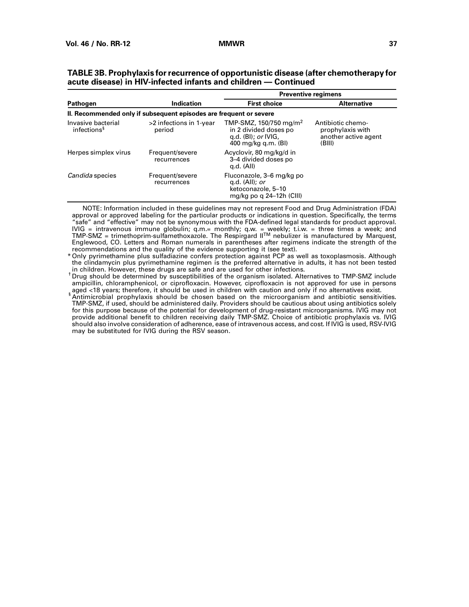|                                                                    |                                   | <b>Preventive regimens</b>                                                                                    |                                                                         |  |  |  |
|--------------------------------------------------------------------|-----------------------------------|---------------------------------------------------------------------------------------------------------------|-------------------------------------------------------------------------|--|--|--|
| Pathogen                                                           | <b>Indication</b>                 | <b>First choice</b>                                                                                           | <b>Alternative</b>                                                      |  |  |  |
| II. Recommended only if subsequent episodes are frequent or severe |                                   |                                                                                                               |                                                                         |  |  |  |
| Invasive bacterial<br>infections <sup>§</sup>                      | >2 infections in 1-year<br>period | TMP-SMZ, 150/750 mg/m <sup>2</sup><br>in 2 divided doses po<br>$q.d.$ (BI); $or$ IVIG,<br>400 mg/kg q.m. (BI) | Antibiotic chemo-<br>prophylaxis with<br>another active agent<br>(BIII) |  |  |  |
| Herpes simplex virus                                               | Frequent/severe<br>recurrences    | Acyclovir, 80 mg/kg/d in<br>3-4 divided doses po<br>q.d. (All)                                                |                                                                         |  |  |  |
| Candida species                                                    | Frequent/severe<br>recurrences    | Fluconazole, 3–6 mg/kg po<br>g.d. (All); <i>or</i><br>ketoconazole, 5-10<br>mg/kg po q $24-12h$ (CIII)        |                                                                         |  |  |  |

| TABLE 3B. Prophylaxis for recurrence of opportunistic disease (after chemotherapy for |
|---------------------------------------------------------------------------------------|
| acute disease) in HIV-infected infants and children — Continued                       |

 NOTE: Information included in these guidelines may not represent Food and Drug Administration (FDA) approval or approved labeling for the particular products or indications in question. Specifically, the terms "safe" and "effective" may not be synonymous with the FDA-defined legal standards for product approval. IVIG = intravenous immune globulin; q.m.= monthly; q.w. = weekly; t.i.w. = three times a week; and TMP-SMZ = trimethoprim-sulfamethoxazole. The Respirgard IITM nebulizer is manufactured by Marquest, Englewood, CO. Letters and Roman numerals in parentheses after regimens indicate the strength of the recommendations and the quality of the evidence supporting it (see text).

\* Only pyrimethamine plus sulfadiazine confers protection against PCP as well as toxoplasmosis. Although the clindamycin plus pyrimethamine regimen is the preferred alternative in adults, it has not been tested in children. However, these drugs are safe and are used for other infections.

<sup>†</sup> Drug should be determined by susceptibilities of the organism isolated. Alternatives to TMP-SMZ include ampicillin, chloramphenicol, or ciprofloxacin. However, ciprofloxacin is not approved for use in persons aged <18 years; therefore, it should be used in children with caution and only if no alternatives exist.

aged its years; therefore, it should be chosen based on the microorganism and antibiotic sensitivities. TMP-SMZ, if used, should be administered daily. Providers should be cautious about using antibiotics solely for this purpose because of the potential for development of drug-resistant microorganisms. IVIG may not provide additional benefit to children receiving daily TMP-SMZ. Choice of antibiotic prophylaxis vs. IVIG should also involve consideration of adherence, ease of intravenous access, and cost. If IVIG is used, RSV-IVIG may be substituted for IVIG during the RSV season.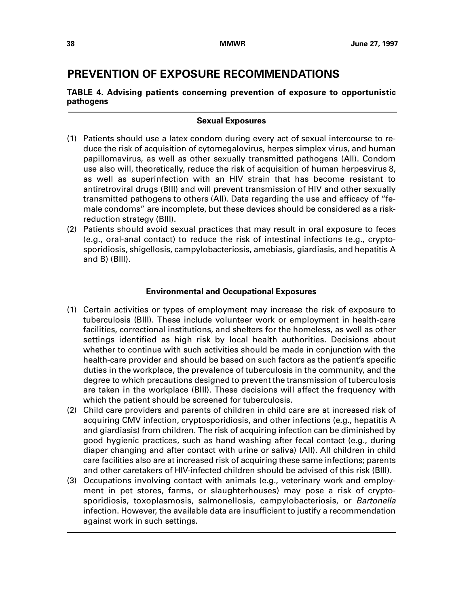# <span id="page-43-0"></span>**PREVENTION OF EXPOSURE RECOMMENDATIONS**

### **TABLE 4. Advising patients concerning prevention of exposure to opportunistic pathogens**

#### **Sexual Exposures**

- (1) Patients should use a latex condom during every act of sexual intercourse to reduce the risk of acquisition of cytomegalovirus, herpes simplex virus, and human papillomavirus, as well as other sexually transmitted pathogens (AII). Condom use also will, theoretically, reduce the risk of acquisition of human herpesvirus 8, as well as superinfection with an HIV strain that has become resistant to antiretroviral drugs (BIII) and will prevent transmission of HIV and other sexually transmitted pathogens to others (AII). Data regarding the use and efficacy of "female condoms" are incomplete, but these devices should be considered as a riskreduction strategy (BIII).
- (2) Patients should avoid sexual practices that may result in oral exposure to feces (e.g., oral-anal contact) to reduce the risk of intestinal infections (e.g., cryptosporidiosis, shigellosis, campylobacteriosis, amebiasis, giardiasis, and hepatitis A and B) (BIII).

#### **Environmental and Occupational Exposures**

- (1) Certain activities or types of employment may increase the risk of exposure to tuberculosis (BIII). These include volunteer work or employment in health-care facilities, correctional institutions, and shelters for the homeless, as well as other settings identified as high risk by local health authorities. Decisions about whether to continue with such activities should be made in conjunction with the health-care provider and should be based on such factors as the patient's specific duties in the workplace, the prevalence of tuberculosis in the community, and the degree to which precautions designed to prevent the transmission of tuberculosis are taken in the workplace (BIII). These decisions will affect the frequency with which the patient should be screened for tuberculosis.
- (2) Child care providers and parents of children in child care are at increased risk of acquiring CMV infection, cryptosporidiosis, and other infections (e.g., hepatitis A and giardiasis) from children. The risk of acquiring infection can be diminished by good hygienic practices, such as hand washing after fecal contact (e.g., during diaper changing and after contact with urine or saliva) (AII). All children in child care facilities also are at increased risk of acquiring these same infections; parents and other caretakers of HIV-infected children should be advised of this risk (BIII).
- (3) Occupations involving contact with animals (e.g., veterinary work and employment in pet stores, farms, or slaughterhouses) may pose a risk of cryptosporidiosis, toxoplasmosis, salmonellosis, campylobacteriosis, or Bartonella infection. However, the available data are insufficient to justify a recommendation against work in such settings.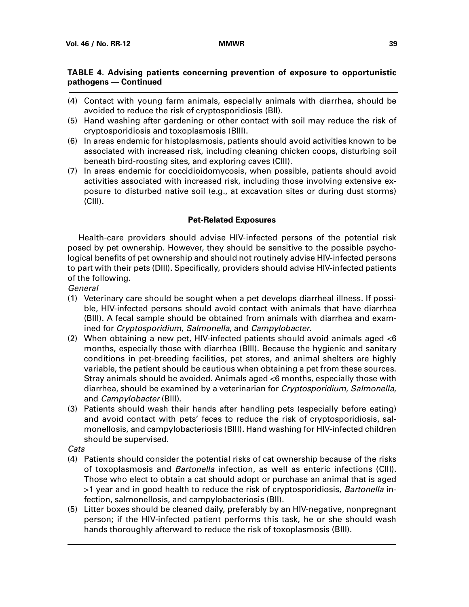- (4) Contact with young farm animals, especially animals with diarrhea, should be avoided to reduce the risk of cryptosporidiosis (BII).
- (5) Hand washing after gardening or other contact with soil may reduce the risk of cryptosporidiosis and toxoplasmosis (BIII).
- (6) In areas endemic for histoplasmosis, patients should avoid activities known to be associated with increased risk, including cleaning chicken coops, disturbing soil beneath bird-roosting sites, and exploring caves (CIII).
- (7) In areas endemic for coccidioidomycosis, when possible, patients should avoid activities associated with increased risk, including those involving extensive exposure to disturbed native soil (e.g., at excavation sites or during dust storms) (CIII).

## **Pet-Related Exposures**

Health-care providers should advise HIV-infected persons of the potential risk posed by pet ownership. However, they should be sensitive to the possible psychological benefits of pet ownership and should not routinely advise HIV-infected persons to part with their pets (DIII). Specifically, providers should advise HIV-infected patients of the following.

**General** 

- (1) Veterinary care should be sought when a pet develops diarrheal illness. If possible, HIV-infected persons should avoid contact with animals that have diarrhea (BIII). A fecal sample should be obtained from animals with diarrhea and examined for Cryptosporidium, Salmonella, and Campylobacter.
- (2) When obtaining a new pet, HIV-infected patients should avoid animals aged <6 months, especially those with diarrhea (BIII). Because the hygienic and sanitary conditions in pet-breeding facilities, pet stores, and animal shelters are highly variable, the patient should be cautious when obtaining a pet from these sources. Stray animals should be avoided. Animals aged <6 months, especially those with diarrhea, should be examined by a veterinarian for *Cryptosporidium*, Salmonella, and Campylobacter (BIII).
- (3) Patients should wash their hands after handling pets (especially before eating) and avoid contact with pets' feces to reduce the risk of cryptosporidiosis, salmonellosis, and campylobacteriosis (BIII). Hand washing for HIV-infected children should be supervised.

Cats

- (4) Patients should consider the potential risks of cat ownership because of the risks of toxoplasmosis and Bartonella infection, as well as enteric infections (CIII). Those who elect to obtain a cat should adopt or purchase an animal that is aged >1 year and in good health to reduce the risk of cryptosporidiosis, Bartonella infection, salmonellosis, and campylobacteriosis (BII).
- (5) Litter boxes should be cleaned daily, preferably by an HIV-negative, nonpregnant person; if the HIV-infected patient performs this task, he or she should wash hands thoroughly afterward to reduce the risk of toxoplasmosis (BIII).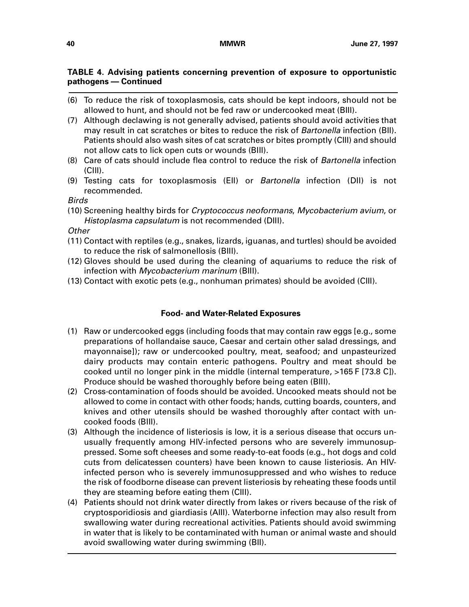- (6) To reduce the risk of toxoplasmosis, cats should be kept indoors, should not be allowed to hunt, and should not be fed raw or undercooked meat (BIII).
- (7) Although declawing is not generally advised, patients should avoid activities that may result in cat scratches or bites to reduce the risk of Bartonella infection (BII). Patients should also wash sites of cat scratches or bites promptly (CIII) and should not allow cats to lick open cuts or wounds (BIII).
- (8) Care of cats should include flea control to reduce the risk of Bartonella infection (CIII).
- (9) Testing cats for toxoplasmosis (EII) or Bartonella infection (DII) is not recommended.

Birds

(10) Screening healthy birds for Cryptococcus neoformans, Mycobacterium avium, or Histoplasma capsulatum is not recommended (DIII).

**Other** 

- (11) Contact with reptiles (e.g., snakes, lizards, iguanas, and turtles) should be avoided to reduce the risk of salmonellosis (BIII).
- (12) Gloves should be used during the cleaning of aquariums to reduce the risk of infection with Mycobacterium marinum (BIII).
- (13) Contact with exotic pets (e.g., nonhuman primates) should be avoided (CIII).

#### **Food- and Water-Related Exposures**

- (1) Raw or undercooked eggs (including foods that may contain raw eggs [e.g., some preparations of hollandaise sauce, Caesar and certain other salad dressings, and mayonnaise]); raw or undercooked poultry, meat, seafood; and unpasteurized dairy products may contain enteric pathogens. Poultry and meat should be cooked until no longer pink in the middle (internal temperature, >165 F [73.8 C]). Produce should be washed thoroughly before being eaten (BIII).
- (2) Cross-contamination of foods should be avoided. Uncooked meats should not be allowed to come in contact with other foods; hands, cutting boards, counters, and knives and other utensils should be washed thoroughly after contact with uncooked foods (BIII).
- (3) Although the incidence of listeriosis is low, it is a serious disease that occurs unusually frequently among HIV-infected persons who are severely immunosuppressed. Some soft cheeses and some ready-to-eat foods (e.g., hot dogs and cold cuts from delicatessen counters) have been known to cause listeriosis. An HIVinfected person who is severely immunosuppressed and who wishes to reduce the risk of foodborne disease can prevent listeriosis by reheating these foods until they are steaming before eating them (CIII).
- (4) Patients should not drink water directly from lakes or rivers because of the risk of cryptosporidiosis and giardiasis (AIII). Waterborne infection may also result from swallowing water during recreational activities. Patients should avoid swimming in water that is likely to be contaminated with human or animal waste and should avoid swallowing water during swimming (BII).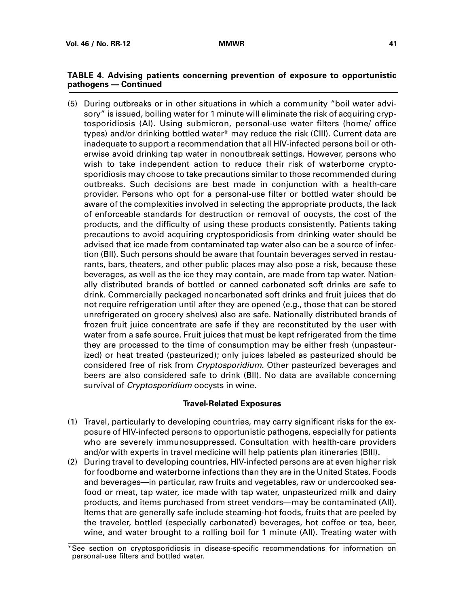(5) During outbreaks or in other situations in which a community "boil water advisory" is issued, boiling water for 1 minute will eliminate the risk of acquiring cryptosporidiosis (AI). Using submicron, personal-use water filters (home/ office types) and/or drinking bottled water\* may reduce the risk (CIII). Current data are inadequate to support a recommendation that all HIV-infected persons boil or otherwise avoid drinking tap water in nonoutbreak settings. However, persons who wish to take independent action to reduce their risk of waterborne cryptosporidiosis may choose to take precautions similar to those recommended during outbreaks. Such decisions are best made in conjunction with a health-care provider. Persons who opt for a personal-use filter or bottled water should be aware of the complexities involved in selecting the appropriate products, the lack of enforceable standards for destruction or removal of oocysts, the cost of the products, and the difficulty of using these products consistently. Patients taking precautions to avoid acquiring cryptosporidiosis from drinking water should be advised that ice made from contaminated tap water also can be a source of infection (BII). Such persons should be aware that fountain beverages served in restaurants, bars, theaters, and other public places may also pose a risk, because these beverages, as well as the ice they may contain, are made from tap water. Nationally distributed brands of bottled or canned carbonated soft drinks are safe to drink. Commercially packaged noncarbonated soft drinks and fruit juices that do not require refrigeration until after they are opened (e.g., those that can be stored unrefrigerated on grocery shelves) also are safe. Nationally distributed brands of frozen fruit juice concentrate are safe if they are reconstituted by the user with water from a safe source. Fruit juices that must be kept refrigerated from the time they are processed to the time of consumption may be either fresh (unpasteurized) or heat treated (pasteurized); only juices labeled as pasteurized should be considered free of risk from *Cryptosporidium*. Other pasteurized beverages and beers are also considered safe to drink (BII). No data are available concerning survival of *Cryptosporidium* oocysts in wine.

### **Travel-Related Exposures**

- (1) Travel, particularly to developing countries, may carry significant risks for the exposure of HIV-infected persons to opportunistic pathogens, especially for patients who are severely immunosuppressed. Consultation with health-care providers and/or with experts in travel medicine will help patients plan itineraries (BIII).
- (2) During travel to developing countries, HIV-infected persons are at even higher risk for foodborne and waterborne infections than they are in the United States. Foods and beverages—in particular, raw fruits and vegetables, raw or undercooked seafood or meat, tap water, ice made with tap water, unpasteurized milk and dairy products, and items purchased from street vendors—may be contaminated (AII). Items that are generally safe include steaming-hot foods, fruits that are peeled by the traveler, bottled (especially carbonated) beverages, hot coffee or tea, beer, wine, and water brought to a rolling boil for 1 minute (AII). Treating water with

<sup>\*</sup>See section on cryptosporidiosis in disease-specific recommendations for information on personal-use filters and bottled water.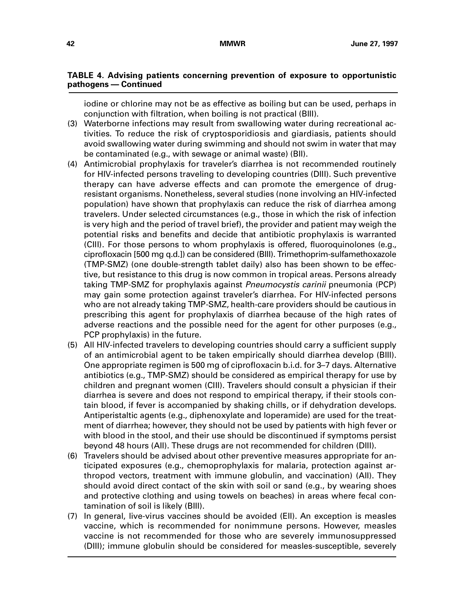iodine or chlorine may not be as effective as boiling but can be used, perhaps in conjunction with filtration, when boiling is not practical (BIII).

- (3) Waterborne infections may result from swallowing water during recreational activities. To reduce the risk of cryptosporidiosis and giardiasis, patients should avoid swallowing water during swimming and should not swim in water that may be contaminated (e.g., with sewage or animal waste) (BII).
- (4) Antimicrobial prophylaxis for traveler's diarrhea is not recommended routinely for HIV-infected persons traveling to developing countries (DIII). Such preventive therapy can have adverse effects and can promote the emergence of drugresistant organisms. Nonetheless, several studies (none involving an HIV-infected population) have shown that prophylaxis can reduce the risk of diarrhea among travelers. Under selected circumstances (e.g., those in which the risk of infection is very high and the period of travel brief), the provider and patient may weigh the potential risks and benefits and decide that antibiotic prophylaxis is warranted (CIII). For those persons to whom prophylaxis is offered, fluoroquinolones (e.g., ciprofloxacin [500 mg q.d.]) can be considered (BIII). Trimethoprim-sulfamethoxazole (TMP-SMZ) (one double-strength tablet daily) also has been shown to be effective, but resistance to this drug is now common in tropical areas. Persons already taking TMP-SMZ for prophylaxis against Pneumocystis carinii pneumonia (PCP) may gain some protection against traveler's diarrhea. For HIV-infected persons who are not already taking TMP-SMZ, health-care providers should be cautious in prescribing this agent for prophylaxis of diarrhea because of the high rates of adverse reactions and the possible need for the agent for other purposes (e.g., PCP prophylaxis) in the future.
- (5) All HIV-infected travelers to developing countries should carry a sufficient supply of an antimicrobial agent to be taken empirically should diarrhea develop (BIII). One appropriate regimen is 500 mg of ciprofloxacin b.i.d. for 3–7 days. Alternative antibiotics (e.g., TMP-SMZ) should be considered as empirical therapy for use by children and pregnant women (CIII). Travelers should consult a physician if their diarrhea is severe and does not respond to empirical therapy, if their stools contain blood, if fever is accompanied by shaking chills, or if dehydration develops. Antiperistaltic agents (e.g., diphenoxylate and loperamide) are used for the treatment of diarrhea; however, they should not be used by patients with high fever or with blood in the stool, and their use should be discontinued if symptoms persist beyond 48 hours (AII). These drugs are not recommended for children (DIII).
- (6) Travelers should be advised about other preventive measures appropriate for anticipated exposures (e.g., chemoprophylaxis for malaria, protection against arthropod vectors, treatment with immune globulin, and vaccination) (AII). They should avoid direct contact of the skin with soil or sand (e.g., by wearing shoes and protective clothing and using towels on beaches) in areas where fecal contamination of soil is likely (BIII).
- (7) In general, live-virus vaccines should be avoided (EII). An exception is measles vaccine, which is recommended for nonimmune persons. However, measles vaccine is not recommended for those who are severely immunosuppressed (DIII); immune globulin should be considered for measles-susceptible, severely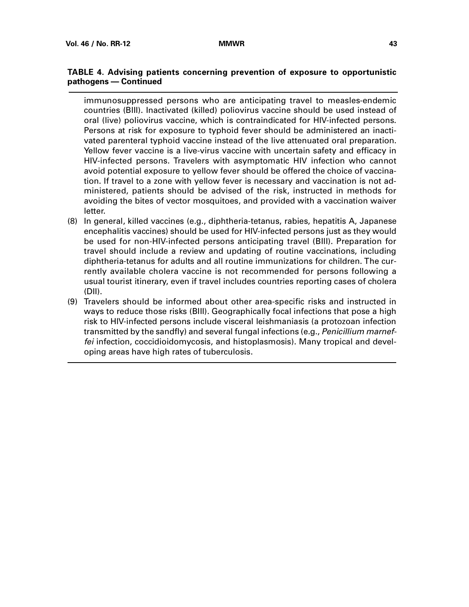immunosuppressed persons who are anticipating travel to measles-endemic countries (BIII). Inactivated (killed) poliovirus vaccine should be used instead of oral (live) poliovirus vaccine, which is contraindicated for HIV-infected persons. Persons at risk for exposure to typhoid fever should be administered an inactivated parenteral typhoid vaccine instead of the live attenuated oral preparation. Yellow fever vaccine is a live-virus vaccine with uncertain safety and efficacy in HIV-infected persons. Travelers with asymptomatic HIV infection who cannot avoid potential exposure to yellow fever should be offered the choice of vaccination. If travel to a zone with yellow fever is necessary and vaccination is not administered, patients should be advised of the risk, instructed in methods for avoiding the bites of vector mosquitoes, and provided with a vaccination waiver letter.

- (8) In general, killed vaccines (e.g., diphtheria-tetanus, rabies, hepatitis A, Japanese encephalitis vaccines) should be used for HIV-infected persons just as they would be used for non-HIV-infected persons anticipating travel (BIII). Preparation for travel should include a review and updating of routine vaccinations, including diphtheria-tetanus for adults and all routine immunizations for children. The currently available cholera vaccine is not recommended for persons following a usual tourist itinerary, even if travel includes countries reporting cases of cholera (DII).
- (9) Travelers should be informed about other area-specific risks and instructed in ways to reduce those risks (BIII). Geographically focal infections that pose a high risk to HIV-infected persons include visceral leishmaniasis (a protozoan infection transmitted by the sandfly) and several fungal infections (e.g., Penicillium marneffei infection, coccidioidomycosis, and histoplasmosis). Many tropical and developing areas have high rates of tuberculosis.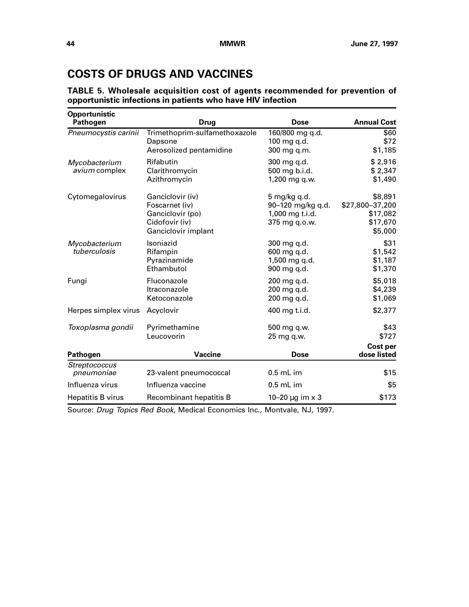# <span id="page-49-0"></span>**COSTS OF DRUGS AND VACCINES**

| Opportunistic<br><b>Pathogen</b>   | Drug                                                                                            | <b>Dose</b>                                                           | <b>Annual Cost</b>                                            |
|------------------------------------|-------------------------------------------------------------------------------------------------|-----------------------------------------------------------------------|---------------------------------------------------------------|
| Pneumocystis carinii               | Trimethoprim-sulfamethoxazole<br>Dapsone<br>Aerosolized pentamidine                             | 160/800 mg q.d.<br>100 mg q.d.<br>300 mg q.m.                         | \$60<br>\$72<br>\$1,185                                       |
| Mycobacterium<br>avium complex     | Rifabutin<br>Clarithromycin<br>Azithromycin                                                     | 300 mg q.d.<br>500 mg b.i.d.<br>1,200 mg q.w.                         | \$2,916<br>\$2,347<br>\$1,490                                 |
| Cytomegalovirus                    | Ganciclovir (iv)<br>Foscarnet (iv)<br>Ganciclovir (po)<br>Cidofovir (iv)<br>Ganciclovir implant | 5 mg/kg q.d.<br>90-120 mg/kg q.d.<br>1,000 mg t.i.d.<br>375 mg q.o.w. | \$8,891<br>\$27,800-37,200<br>\$17,082<br>\$17,670<br>\$5,000 |
| Mycobacterium<br>tuberculosis      | Isoniazid<br>Rifampin<br>Pyrazinamide<br>Ethambutol                                             | 300 mg q.d.<br>600 mg q.d.<br>1,500 mg q.d.<br>900 mg q.d.            | \$31<br>\$1,542<br>\$1,187<br>\$1,370                         |
| Fungi                              | Fluconazole<br><b>Itraconazole</b><br>Ketoconazole                                              | 200 mg q.d.<br>200 mg q.d.<br>200 mg q.d.                             | \$5,018<br>\$4,239<br>\$1,069                                 |
| Herpes simplex virus               | Acyclovir                                                                                       | 400 mg t.i.d.                                                         | \$2,377                                                       |
| Toxoplasma gondii                  | Pyrimethamine<br>Leucovorin                                                                     | 500 mg q.w.<br>25 mg q.w.                                             | \$43<br>\$727                                                 |
| <b>Pathogen</b>                    | <b>Vaccine</b>                                                                                  | <b>Dose</b>                                                           | Cost per<br>dose listed                                       |
| <b>Streptococcus</b><br>pneumoniae | 23-valent pneumococcal                                                                          | $0.5$ mL im                                                           | \$15                                                          |
| Influenza virus                    | Influenza vaccine                                                                               | $0.5$ mL im                                                           | \$5                                                           |
| Hepatitis B virus                  | Recombinant hepatitis B                                                                         | $10 - 20 \mu g$ im x 3                                                | \$173                                                         |

**TABLE 5. Wholesale acquisition cost of agents recommended for prevention of opportunistic infections in patients who have HIV infection**

Source: Drug Topics Red Book, Medical Economics Inc., Montvale, NJ, 1997.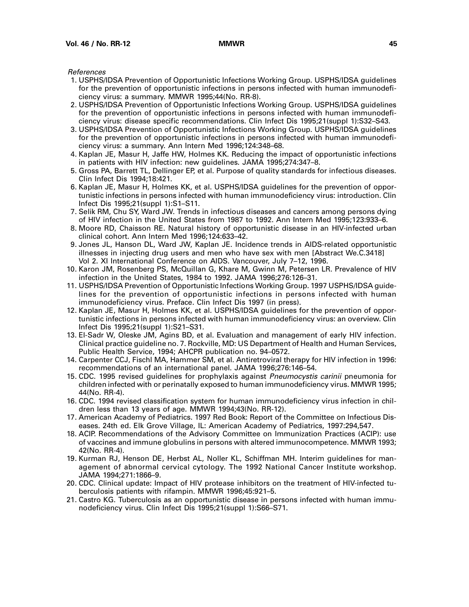<span id="page-50-0"></span>References

- 1. USPHS/IDSA Prevention of Opportunistic Infections Working Group. USPHS/IDSA guidelines for the prevention of opportunistic infections in persons infected with human immunodeficiency virus: a summary. MMWR 1995;44(No. RR-8).
- 2. USPHS/IDSA Prevention of Opportunistic Infections Working Group. USPHS/IDSA guidelines for the prevention of opportunistic infections in persons infected with human immunodeficiency virus: disease specific recommendations. Clin Infect Dis 1995;21(suppl 1):S32–S43.
- 3. USPHS/IDSA Prevention of Opportunistic Infections Working Group. USPHS/IDSA guidelines for the prevention of opportunistic infections in persons infected with human immunodeficiency virus: a summary. Ann Intern Med 1996;124:348–68.
- 4. Kaplan JE, Masur H, Jaffe HW, Holmes KK. Reducing the impact of opportunistic infections in patients with HIV infection: new guidelines. JAMA 1995;274:347–8.
- 5. Gross PA, Barrett TL, Dellinger EP, et al. Purpose of quality standards for infectious diseases. Clin Infect Dis 1994;18:421.
- 6. Kaplan JE, Masur H, Holmes KK, et al. USPHS/IDSA guidelines for the prevention of opportunistic infections in persons infected with human immunodeficiency virus: introduction. Clin Infect Dis 1995;21(suppl 1):S1–S11.
- 7. Selik RM, Chu SY, Ward JW. Trends in infectious diseases and cancers among persons dying of HIV infection in the United States from 1987 to 1992. Ann Intern Med 1995;123:933–6.
- 8. Moore RD, Chaisson RE. Natural history of opportunistic disease in an HIV-infected urban clinical cohort. Ann Intern Med 1996;124:633–42.
- 9. Jones JL, Hanson DL, Ward JW, Kaplan JE. Incidence trends in AIDS-related opportunistic illnesses in injecting drug users and men who have sex with men [Abstract We.C.3418] Vol 2. XI International Conference on AIDS. Vancouver, July 7–12, 1996.
- 10. Karon JM, Rosenberg PS, McQuillan G, Khare M, Gwinn M, Petersen LR. Prevalence of HIV infection in the United States, 1984 to 1992. JAMA 1996;276:126–31.
- 11. USPHS/IDSA Prevention of Opportunistic Infections Working Group. 1997 USPHS/IDSA guidelines for the prevention of opportunistic infections in persons infected with human immunodeficiency virus. Preface. Clin Infect Dis 1997 (in press).
- 12. Kaplan JE, Masur H, Holmes KK, et al. USPHS/IDSA guidelines for the prevention of opportunistic infections in persons infected with human immunodeficiency virus: an overview. Clin Infect Dis 1995;21(suppl 1):S21–S31.
- 13. El-Sadr W, Oleske JM, Agins BD, et al. Evaluation and management of early HIV infection. Clinical practice guideline no. 7. Rockville, MD: US Department of Health and Human Services, Public Health Service, 1994; AHCPR publication no. 94–0572.
- 14. Carpenter CCJ, Fischl MA, Hammer SM, et al. Antiretroviral therapy for HIV infection in 1996: recommendations of an international panel. JAMA 1996;276:146–54.
- 15. CDC. 1995 revised guidelines for prophylaxis against Pneumocystis carinii pneumonia for children infected with or perinatally exposed to human immunodeficiency virus. MMWR 1995; 44(No. RR-4).
- 16. CDC. 1994 revised classification system for human immunodeficiency virus infection in children less than 13 years of age. MMWR 1994;43(No. RR-12).
- 17. American Academy of Pediatrics. 1997 Red Book: Report of the Committee on Infectious Diseases. 24th ed. Elk Grove Village, IL: American Academy of Pediatrics, 1997:294,547.
- 18. ACIP. Recommendations of the Advisory Committee on Immunization Practices (ACIP): use of vaccines and immune globulins in persons with altered immunocompetence. MMWR 1993; 42(No. RR-4).
- 19. Kurman RJ, Henson DE, Herbst AL, Noller KL, Schiffman MH. Interim guidelines for management of abnormal cervical cytology. The 1992 National Cancer Institute workshop. JAMA 1994;271:1866–9.
- 20. CDC. Clinical update: Impact of HIV protease inhibitors on the treatment of HIV-infected tuberculosis patients with rifampin. MMWR 1996;45:921–5.
- 21. Castro KG. Tuberculosis as an opportunistic disease in persons infected with human immunodeficiency virus. Clin Infect Dis 1995;21(suppl 1):S66–S71.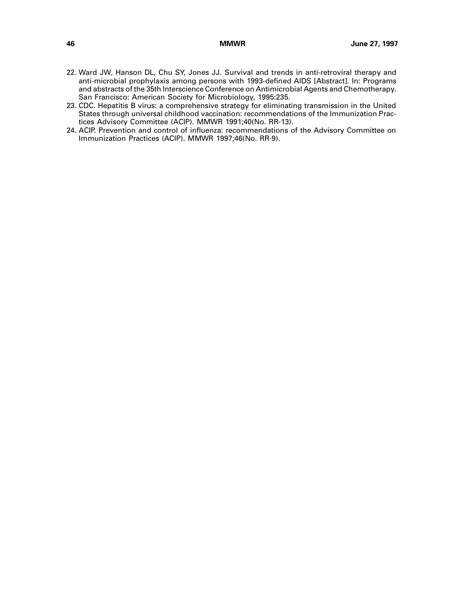- 22. Ward JW, Hanson DL, Chu SY, Jones JJ. Survival and trends in anti-retroviral therapy and anti-microbial prophylaxis among persons with 1993-defined AIDS [Abstract]. In: Programs and abstracts of the 35th Interscience Conference on Antimicrobial Agents and Chemotherapy. San Francisco: American Society for Microbiology, 1995:235.
- 23. CDC. Hepatitis B virus: a comprehensive strategy for eliminating transmission in the United States through universal childhood vaccination: recommendations of the Immunization Practices Advisory Committee (ACIP). MMWR 1991;40(No. RR-13).
- 24. ACIP. Prevention and control of influenza: recommendations of the Advisory Committee on Immunization Practices (ACIP). MMWR 1997;46(No. RR-9).